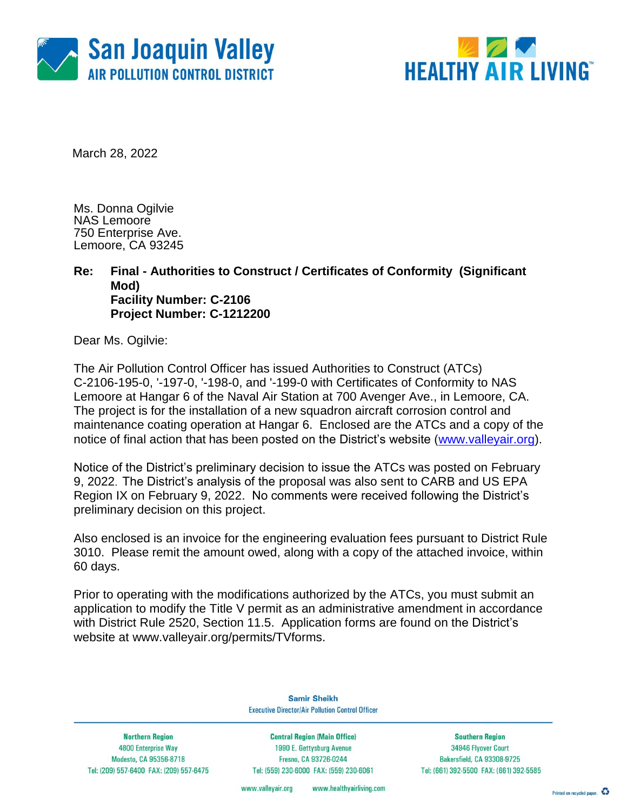



March 28, 2022

Ms. Donna Ogilvie NAS Lemoore 750 Enterprise Ave. Lemoore, CA 93245

#### **Re: Final - Authorities to Construct / Certificates of Conformity (Significant Mod) Facility Number: C-2106 Project Number: C-1212200**

Dear Ms. Ogilvie:

The Air Pollution Control Officer has issued Authorities to Construct (ATCs) C-2106-195-0, '-197-0, '-198-0, and '-199-0 with Certificates of Conformity to NAS Lemoore at Hangar 6 of the Naval Air Station at 700 Avenger Ave., in Lemoore, CA. The project is for the installation of a new squadron aircraft corrosion control and maintenance coating operation at Hangar 6. Enclosed are the ATCs and a copy of the notice of final action that has been posted on the District's website [\(www.valleyair.org\)](http://www.valleyair.org/).

Notice of the District's preliminary decision to issue the ATCs was posted on February 9, 2022. The District's analysis of the proposal was also sent to CARB and US EPA Region IX on February 9, 2022. No comments were received following the District's preliminary decision on this project.

Also enclosed is an invoice for the engineering evaluation fees pursuant to District Rule 3010. Please remit the amount owed, along with a copy of the attached invoice, within 60 days.

Prior to operating with the modifications authorized by the ATCs, you must submit an application to modify the Title V permit as an administrative amendment in accordance with District Rule 2520, Section 11.5. Application forms are found on the District's website at [www.valleyair.org/permits/TVforms.](http://www.valleyair.org/permits/TVforms)

> **Samir Sheikh Executive Director/Air Pollution Control Officer**

**Northern Region** 4800 Enterprise Way Modesto, CA 95356-8718 Tel: (209) 557-6400 FAX: (209) 557-6475

**Central Region (Main Office)** 1990 E. Gettysburg Avenue Fresno, CA 93726-0244 Tel: (559) 230-6000 FAX: (559) 230-6061

**Southern Region** 34946 Flyover Court Bakersfield, CA 93308-9725 Tel: (661) 392-5500 FAX: (661) 392-5585

www.healthyairliving.com www.valleyair.org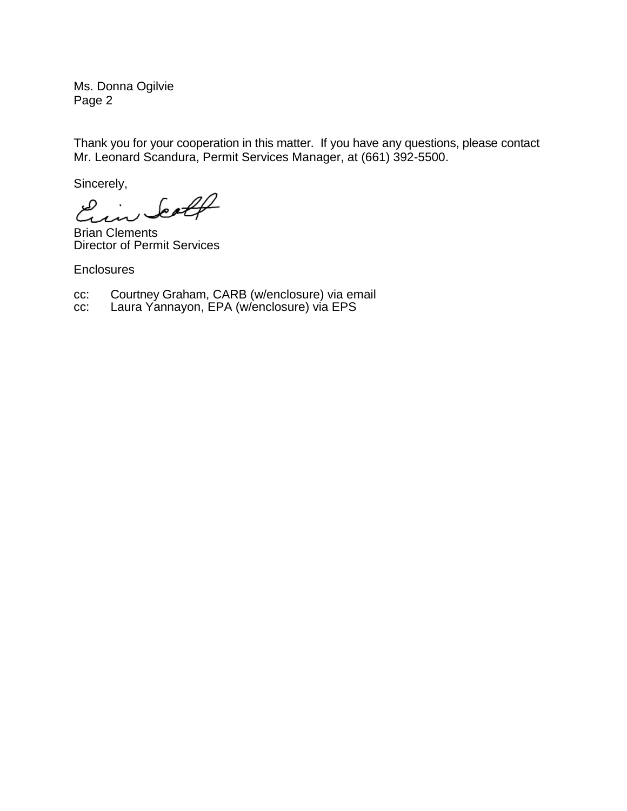Ms. Donna Ogilvie Page 2

Thank you for your cooperation in this matter. If you have any questions, please contact Mr. Leonard Scandura, Permit Services Manager, at (661) 392-5500.

Sincerely,

Ein Scott

Brian Clements Director of Permit Services

**Enclosures** 

cc: Courtney Graham, CARB (w/enclosure) via email

cc: Laura Yannayon, EPA (w/enclosure) via EPS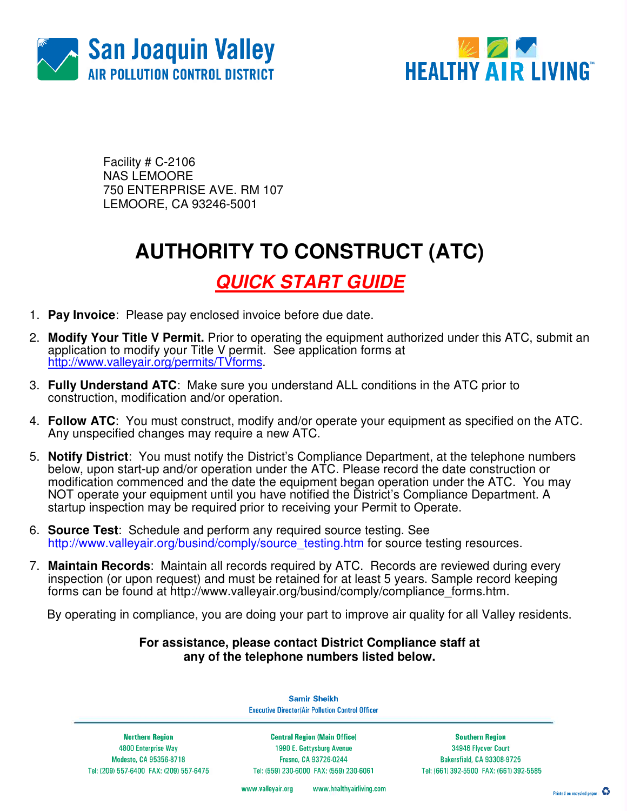



Facility # C-2106 NAS LEMOORE 750 ENTERPRISE AVE. RM 107 LEMOORE, CA 93246-5001

## **AUTHORITY TO CONSTRUCT (ATC)**

### **QUICK START GUIDE**

- 1. **Pay Invoice**: Please pay enclosed invoice before due date.
- 2. **Modify Your Title V Permit.** Prior to operating the equipment authorized under this ATC, submit an application to modify your Title V permit. See application forms at http://www.valleyair.org/permits/TVforms.
- 3. **Fully Understand ATC**: Make sure you understand ALL conditions in the ATC prior to construction, modification and/or operation.
- 4. **Follow ATC**: You must construct, modify and/or operate your equipment as specified on the ATC. Any unspecified changes may require a new ATC.
- 5. **Notify District**: You must notify the District's Compliance Department, at the telephone numbers below, upon start-up and/or operation under the ATC. Please record the date construction or modification commenced and the date the equipment began operation under the ATC. You may NOT operate your equipment until you have notified the District's Compliance Department. A startup inspection may be required prior to receiving your Permit to Operate.
- 6. **Source Test**:Schedule and perform any required source testing. See http://www.valleyair.org/busind/comply/source\_testing.htm for source testing resources.
- 7. **Maintain Records**:Maintain all records required by ATC. Records are reviewed during every inspection (or upon request) and must be retained for at least 5 years. Sample record keeping forms can be found at http://www.valleyair.org/busind/comply/compliance\_forms.htm.

By operating in compliance, you are doing your part to improve air quality for all Valley residents.

#### **For assistance, please contact District Compliance staff at any of the telephone numbers listed below.**

**Samir Sheikh Executive Director/Air Pollution Control Officer** 

**Northern Region** 4800 Enterprise Way Modesto, CA 95356-8718 Tel: (209) 557-6400 FAX: (209) 557-6475

**Central Region (Main Office)** 1990 E. Gettysburg Avenue Fresno, CA 93726-0244 Tel: (559) 230-6000 FAX: (559) 230-6061

**Southern Region** 34946 Flyover Court Bakersfield, CA 93308-9725 Tel: (661) 392-5500 FAX: (661) 392-5585

www.valleyair.org www.healthyairliving.com

Printed on recycled paper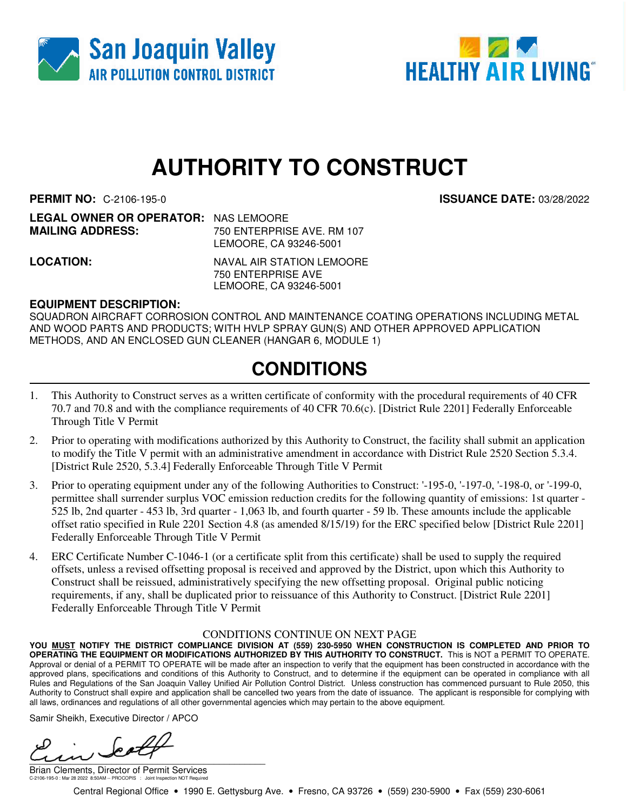



# **AUTHORITY TO CONSTRUCT**

**PERMIT NO:** C-2106-195-0 **ISSUANCE DATE:** 03/28/2022

| <b>LEGAL OWNER OR OPERATOR: NAS LEMOORE</b> |                                                                                                                                                                                                                                                                                                                                                                                      |
|---------------------------------------------|--------------------------------------------------------------------------------------------------------------------------------------------------------------------------------------------------------------------------------------------------------------------------------------------------------------------------------------------------------------------------------------|
| <b>MAILING ADDRESS:</b>                     | 750 ENTERPRISE AVE, RM 107                                                                                                                                                                                                                                                                                                                                                           |
|                                             | $\overline{1}$ $\overline{1}$ $\overline{1}$ $\overline{1}$ $\overline{1}$ $\overline{1}$ $\overline{1}$ $\overline{1}$ $\overline{1}$ $\overline{1}$ $\overline{1}$ $\overline{1}$ $\overline{1}$ $\overline{1}$ $\overline{1}$ $\overline{1}$ $\overline{1}$ $\overline{1}$ $\overline{1}$ $\overline{1}$ $\overline{1}$ $\overline{1}$ $\overline{1}$ $\overline{1}$ $\overline{$ |

LEMOORE, CA 93246-5001 **LOCATION:** NAVAL AIR STATION LEMOORE

750 ENTERPRISE AVE LEMOORE, CA 93246-5001

#### **EQUIPMENT DESCRIPTION:**

SQUADRON AIRCRAFT CORROSION CONTROL AND MAINTENANCE COATING OPERATIONS INCLUDING METAL AND WOOD PARTS AND PRODUCTS; WITH HVLP SPRAY GUN(S) AND OTHER APPROVED APPLICATION METHODS, AND AN ENCLOSED GUN CLEANER (HANGAR 6, MODULE 1)

### **CONDITIONS**

- 1. This Authority to Construct serves as a written certificate of conformity with the procedural requirements of 40 CFR 70.7 and 70.8 and with the compliance requirements of 40 CFR 70.6(c). [District Rule 2201] Federally Enforceable Through Title V Permit
- 2. Prior to operating with modifications authorized by this Authority to Construct, the facility shall submit an application to modify the Title V permit with an administrative amendment in accordance with District Rule 2520 Section 5.3.4. [District Rule 2520, 5.3.4] Federally Enforceable Through Title V Permit
- 3. Prior to operating equipment under any of the following Authorities to Construct: '-195-0, '-197-0, '-198-0, or '-199-0, permittee shall surrender surplus VOC emission reduction credits for the following quantity of emissions: 1st quarter - 525 lb, 2nd quarter - 453 lb, 3rd quarter - 1,063 lb, and fourth quarter - 59 lb. These amounts include the applicable offset ratio specified in Rule 2201 Section 4.8 (as amended 8/15/19) for the ERC specified below [District Rule 2201] Federally Enforceable Through Title V Permit
- 4. ERC Certificate Number C-1046-1 (or a certificate split from this certificate) shall be used to supply the required offsets, unless a revised offsetting proposal is received and approved by the District, upon which this Authority to Construct shall be reissued, administratively specifying the new offsetting proposal. Original public noticing requirements, if any, shall be duplicated prior to reissuance of this Authority to Construct. [District Rule 2201] Federally Enforceable Through Title V Permit

#### CONDITIONS CONTINUE ON NEXT PAGE

**YOU MUST NOTIFY THE DISTRICT COMPLIANCE DIVISION AT (559) 230-5950 WHEN CONSTRUCTION IS COMPLETED AND PRIOR TO OPERATING THE EQUIPMENT OR MODIFICATIONS AUTHORIZED BY THIS AUTHORITY TO CONSTRUCT.** This is NOT a PERMIT TO OPERATE. Approval or denial of a PERMIT TO OPERATE will be made after an inspection to verify that the equipment has been constructed in accordance with the approved plans, specifications and conditions of this Authority to Construct, and to determine if the equipment can be operated in compliance with all Rules and Regulations of the San Joaquin Valley Unified Air Pollution Control District. Unless construction has commenced pursuant to Rule 2050, this Authority to Construct shall expire and application shall be cancelled two years from the date of issuance. The applicant is responsible for complying with all laws, ordinances and regulations of all other governmental agencies which may pertain to the above equipment.

Samir Sheikh, Executive Director / APCO

 $\frac{1}{2}$ 

Brian Clements, Director of Permit Services C-2106-195-0 : Mar 28 2022 8:50AM -- PROCOPIS : Joint Inspection NOT Required

Central Regional Office • 1990 E. Gettysburg Ave. • Fresno, CA 93726 • (559) 230-5900 • Fax (559) 230-6061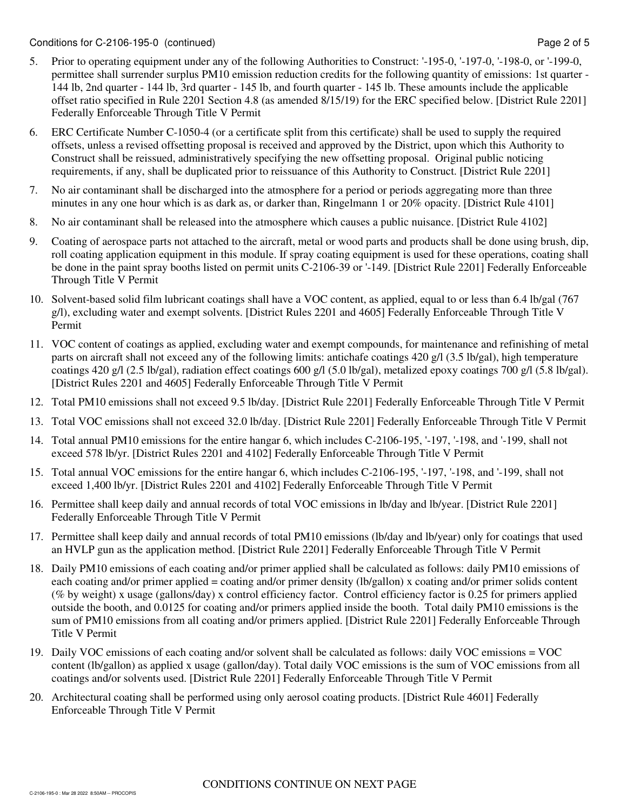- 5. Prior to operating equipment under any of the following Authorities to Construct: '-195-0, '-197-0, '-198-0, or '-199-0, permittee shall surrender surplus PM10 emission reduction credits for the following quantity of emissions: 1st quarter - 144 lb, 2nd quarter - 144 lb, 3rd quarter - 145 lb, and fourth quarter - 145 lb. These amounts include the applicable offset ratio specified in Rule 2201 Section 4.8 (as amended 8/15/19) for the ERC specified below. [District Rule 2201] Federally Enforceable Through Title V Permit
- 6. ERC Certificate Number C-1050-4 (or a certificate split from this certificate) shall be used to supply the required offsets, unless a revised offsetting proposal is received and approved by the District, upon which this Authority to Construct shall be reissued, administratively specifying the new offsetting proposal. Original public noticing requirements, if any, shall be duplicated prior to reissuance of this Authority to Construct. [District Rule 2201]
- 7. No air contaminant shall be discharged into the atmosphere for a period or periods aggregating more than three minutes in any one hour which is as dark as, or darker than, Ringelmann 1 or 20% opacity. [District Rule 4101]
- 8. No air contaminant shall be released into the atmosphere which causes a public nuisance. [District Rule 4102]
- 9. Coating of aerospace parts not attached to the aircraft, metal or wood parts and products shall be done using brush, dip, roll coating application equipment in this module. If spray coating equipment is used for these operations, coating shall be done in the paint spray booths listed on permit units C-2106-39 or '-149. [District Rule 2201] Federally Enforceable Through Title V Permit
- 10. Solvent-based solid film lubricant coatings shall have a VOC content, as applied, equal to or less than 6.4 lb/gal (767 g/l), excluding water and exempt solvents. [District Rules 2201 and 4605] Federally Enforceable Through Title V Permit
- 11. VOC content of coatings as applied, excluding water and exempt compounds, for maintenance and refinishing of metal parts on aircraft shall not exceed any of the following limits: antichafe coatings 420 g/l (3.5 lb/gal), high temperature coatings 420 g/l (2.5 lb/gal), radiation effect coatings 600 g/l (5.0 lb/gal), metalized epoxy coatings 700 g/l (5.8 lb/gal). [District Rules 2201 and 4605] Federally Enforceable Through Title V Permit
- 12. Total PM10 emissions shall not exceed 9.5 lb/day. [District Rule 2201] Federally Enforceable Through Title V Permit
- 13. Total VOC emissions shall not exceed 32.0 lb/day. [District Rule 2201] Federally Enforceable Through Title V Permit
- 14. Total annual PM10 emissions for the entire hangar 6, which includes C-2106-195, '-197, '-198, and '-199, shall not exceed 578 lb/yr. [District Rules 2201 and 4102] Federally Enforceable Through Title V Permit
- 15. Total annual VOC emissions for the entire hangar 6, which includes C-2106-195, '-197, '-198, and '-199, shall not exceed 1,400 lb/yr. [District Rules 2201 and 4102] Federally Enforceable Through Title V Permit
- 16. Permittee shall keep daily and annual records of total VOC emissions in lb/day and lb/year. [District Rule 2201] Federally Enforceable Through Title V Permit
- 17. Permittee shall keep daily and annual records of total PM10 emissions (lb/day and lb/year) only for coatings that used an HVLP gun as the application method. [District Rule 2201] Federally Enforceable Through Title V Permit
- 18. Daily PM10 emissions of each coating and/or primer applied shall be calculated as follows: daily PM10 emissions of each coating and/or primer applied = coating and/or primer density (lb/gallon) x coating and/or primer solids content (% by weight) x usage (gallons/day) x control efficiency factor. Control efficiency factor is 0.25 for primers applied outside the booth, and 0.0125 for coating and/or primers applied inside the booth. Total daily PM10 emissions is the sum of PM10 emissions from all coating and/or primers applied. [District Rule 2201] Federally Enforceable Through Title V Permit
- 19. Daily VOC emissions of each coating and/or solvent shall be calculated as follows: daily VOC emissions = VOC content (lb/gallon) as applied x usage (gallon/day). Total daily VOC emissions is the sum of VOC emissions from all coatings and/or solvents used. [District Rule 2201] Federally Enforceable Through Title V Permit
- 20. Architectural coating shall be performed using only aerosol coating products. [District Rule 4601] Federally Enforceable Through Title V Permit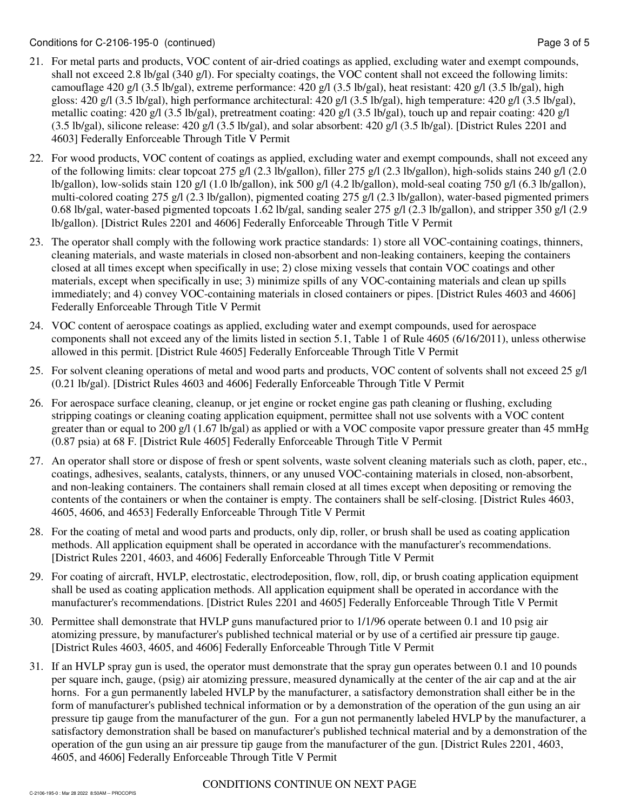- 21. For metal parts and products, VOC content of air-dried coatings as applied, excluding water and exempt compounds, shall not exceed 2.8 lb/gal (340 g/l). For specialty coatings, the VOC content shall not exceed the following limits: camouflage 420 g/l (3.5 lb/gal), extreme performance: 420 g/l (3.5 lb/gal), heat resistant: 420 g/l (3.5 lb/gal), high gloss: 420 g/l (3.5 lb/gal), high performance architectural: 420 g/l (3.5 lb/gal), high temperature: 420 g/l (3.5 lb/gal), metallic coating: 420 g/l (3.5 lb/gal), pretreatment coating: 420 g/l (3.5 lb/gal), touch up and repair coating: 420 g/l  $(3.5 \text{ lb/gal})$ , silicone release:  $420 \text{ g/l}$   $(3.5 \text{ lb/gal})$ , and solar absorbent:  $420 \text{ g/l}$   $(3.5 \text{ lb/gal})$ . [District Rules 2201 and 4603] Federally Enforceable Through Title V Permit
- 22. For wood products, VOC content of coatings as applied, excluding water and exempt compounds, shall not exceed any of the following limits: clear topcoat 275 g/l (2.3 lb/gallon), filler 275 g/l (2.3 lb/gallon), high-solids stains 240 g/l (2.0 lb/gallon), low-solids stain 120 g/l (1.0 lb/gallon), ink 500 g/l (4.2 lb/gallon), mold-seal coating 750 g/l (6.3 lb/gallon), multi-colored coating 275 g/l (2.3 lb/gallon), pigmented coating 275 g/l (2.3 lb/gallon), water-based pigmented primers 0.68 lb/gal, water-based pigmented topcoats 1.62 lb/gal, sanding sealer 275 g/l (2.3 lb/gallon), and stripper 350 g/l (2.9 lb/gallon). [District Rules 2201 and 4606] Federally Enforceable Through Title V Permit
- 23. The operator shall comply with the following work practice standards: 1) store all VOC-containing coatings, thinners, cleaning materials, and waste materials in closed non-absorbent and non-leaking containers, keeping the containers closed at all times except when specifically in use; 2) close mixing vessels that contain VOC coatings and other materials, except when specifically in use; 3) minimize spills of any VOC-containing materials and clean up spills immediately; and 4) convey VOC-containing materials in closed containers or pipes. [District Rules 4603 and 4606] Federally Enforceable Through Title V Permit
- 24. VOC content of aerospace coatings as applied, excluding water and exempt compounds, used for aerospace components shall not exceed any of the limits listed in section 5.1, Table 1 of Rule 4605 (6/16/2011), unless otherwise allowed in this permit. [District Rule 4605] Federally Enforceable Through Title V Permit
- 25. For solvent cleaning operations of metal and wood parts and products, VOC content of solvents shall not exceed 25 g/l (0.21 lb/gal). [District Rules 4603 and 4606] Federally Enforceable Through Title V Permit
- 26. For aerospace surface cleaning, cleanup, or jet engine or rocket engine gas path cleaning or flushing, excluding stripping coatings or cleaning coating application equipment, permittee shall not use solvents with a VOC content greater than or equal to 200 g/l (1.67 lb/gal) as applied or with a VOC composite vapor pressure greater than 45 mmHg (0.87 psia) at 68 F. [District Rule 4605] Federally Enforceable Through Title V Permit
- 27. An operator shall store or dispose of fresh or spent solvents, waste solvent cleaning materials such as cloth, paper, etc., coatings, adhesives, sealants, catalysts, thinners, or any unused VOC-containing materials in closed, non-absorbent, and non-leaking containers. The containers shall remain closed at all times except when depositing or removing the contents of the containers or when the container is empty. The containers shall be self-closing. [District Rules 4603, 4605, 4606, and 4653] Federally Enforceable Through Title V Permit
- 28. For the coating of metal and wood parts and products, only dip, roller, or brush shall be used as coating application methods. All application equipment shall be operated in accordance with the manufacturer's recommendations. [District Rules 2201, 4603, and 4606] Federally Enforceable Through Title V Permit
- 29. For coating of aircraft, HVLP, electrostatic, electrodeposition, flow, roll, dip, or brush coating application equipment shall be used as coating application methods. All application equipment shall be operated in accordance with the manufacturer's recommendations. [District Rules 2201 and 4605] Federally Enforceable Through Title V Permit
- 30. Permittee shall demonstrate that HVLP guns manufactured prior to 1/1/96 operate between 0.1 and 10 psig air atomizing pressure, by manufacturer's published technical material or by use of a certified air pressure tip gauge. [District Rules 4603, 4605, and 4606] Federally Enforceable Through Title V Permit
- 31. If an HVLP spray gun is used, the operator must demonstrate that the spray gun operates between 0.1 and 10 pounds per square inch, gauge, (psig) air atomizing pressure, measured dynamically at the center of the air cap and at the air horns. For a gun permanently labeled HVLP by the manufacturer, a satisfactory demonstration shall either be in the form of manufacturer's published technical information or by a demonstration of the operation of the gun using an air pressure tip gauge from the manufacturer of the gun. For a gun not permanently labeled HVLP by the manufacturer, a satisfactory demonstration shall be based on manufacturer's published technical material and by a demonstration of the operation of the gun using an air pressure tip gauge from the manufacturer of the gun. [District Rules 2201, 4603, 4605, and 4606] Federally Enforceable Through Title V Permit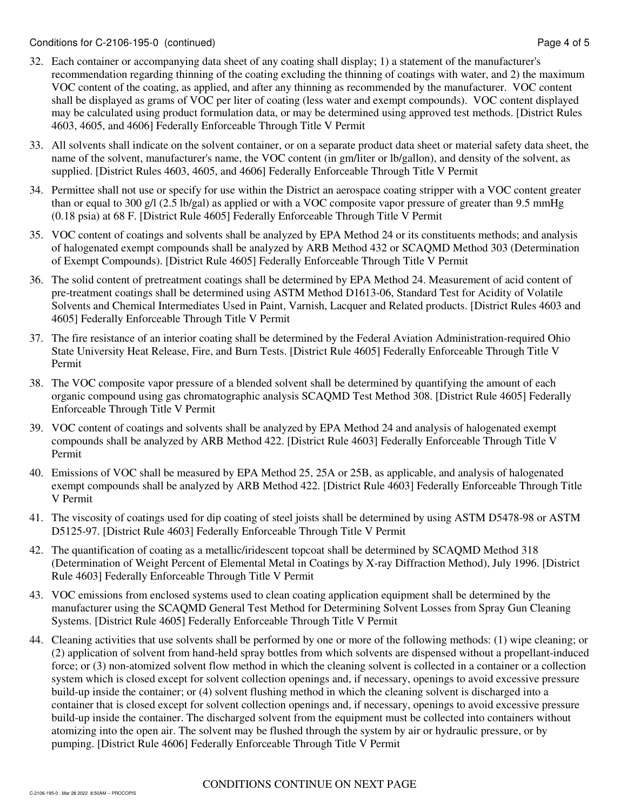- 32. Each container or accompanying data sheet of any coating shall display; 1) a statement of the manufacturer's recommendation regarding thinning of the coating excluding the thinning of coatings with water, and 2) the maximum VOC content of the coating, as applied, and after any thinning as recommended by the manufacturer. VOC content shall be displayed as grams of VOC per liter of coating (less water and exempt compounds). VOC content displayed may be calculated using product formulation data, or may be determined using approved test methods. [District Rules 4603, 4605, and 4606] Federally Enforceable Through Title V Permit
- 33. All solvents shall indicate on the solvent container, or on a separate product data sheet or material safety data sheet, the name of the solvent, manufacturer's name, the VOC content (in gm/liter or lb/gallon), and density of the solvent, as supplied. [District Rules 4603, 4605, and 4606] Federally Enforceable Through Title V Permit
- 34. Permittee shall not use or specify for use within the District an aerospace coating stripper with a VOC content greater than or equal to 300 g/l (2.5 lb/gal) as applied or with a VOC composite vapor pressure of greater than 9.5 mmHg (0.18 psia) at 68 F. [District Rule 4605] Federally Enforceable Through Title V Permit
- 35. VOC content of coatings and solvents shall be analyzed by EPA Method 24 or its constituents methods; and analysis of halogenated exempt compounds shall be analyzed by ARB Method 432 or SCAQMD Method 303 (Determination of Exempt Compounds). [District Rule 4605] Federally Enforceable Through Title V Permit
- 36. The solid content of pretreatment coatings shall be determined by EPA Method 24. Measurement of acid content of pre-treatment coatings shall be determined using ASTM Method D1613-06, Standard Test for Acidity of Volatile Solvents and Chemical Intermediates Used in Paint, Varnish, Lacquer and Related products. [District Rules 4603 and 4605] Federally Enforceable Through Title V Permit
- 37. The fire resistance of an interior coating shall be determined by the Federal Aviation Administration-required Ohio State University Heat Release, Fire, and Burn Tests. [District Rule 4605] Federally Enforceable Through Title V Permit
- 38. The VOC composite vapor pressure of a blended solvent shall be determined by quantifying the amount of each organic compound using gas chromatographic analysis SCAQMD Test Method 308. [District Rule 4605] Federally Enforceable Through Title V Permit
- 39. VOC content of coatings and solvents shall be analyzed by EPA Method 24 and analysis of halogenated exempt compounds shall be analyzed by ARB Method 422. [District Rule 4603] Federally Enforceable Through Title V Permit
- 40. Emissions of VOC shall be measured by EPA Method 25, 25A or 25B, as applicable, and analysis of halogenated exempt compounds shall be analyzed by ARB Method 422. [District Rule 4603] Federally Enforceable Through Title V Permit
- 41. The viscosity of coatings used for dip coating of steel joists shall be determined by using ASTM D5478-98 or ASTM D5125-97. [District Rule 4603] Federally Enforceable Through Title V Permit
- 42. The quantification of coating as a metallic/iridescent topcoat shall be determined by SCAQMD Method 318 (Determination of Weight Percent of Elemental Metal in Coatings by X-ray Diffraction Method), July 1996. [District Rule 4603] Federally Enforceable Through Title V Permit
- 43. VOC emissions from enclosed systems used to clean coating application equipment shall be determined by the manufacturer using the SCAQMD General Test Method for Determining Solvent Losses from Spray Gun Cleaning Systems. [District Rule 4605] Federally Enforceable Through Title V Permit
- 44. Cleaning activities that use solvents shall be performed by one or more of the following methods: (1) wipe cleaning; or (2) application of solvent from hand-held spray bottles from which solvents are dispensed without a propellant-induced force; or (3) non-atomized solvent flow method in which the cleaning solvent is collected in a container or a collection system which is closed except for solvent collection openings and, if necessary, openings to avoid excessive pressure build-up inside the container; or (4) solvent flushing method in which the cleaning solvent is discharged into a container that is closed except for solvent collection openings and, if necessary, openings to avoid excessive pressure build-up inside the container. The discharged solvent from the equipment must be collected into containers without atomizing into the open air. The solvent may be flushed through the system by air or hydraulic pressure, or by pumping. [District Rule 4606] Federally Enforceable Through Title V Permit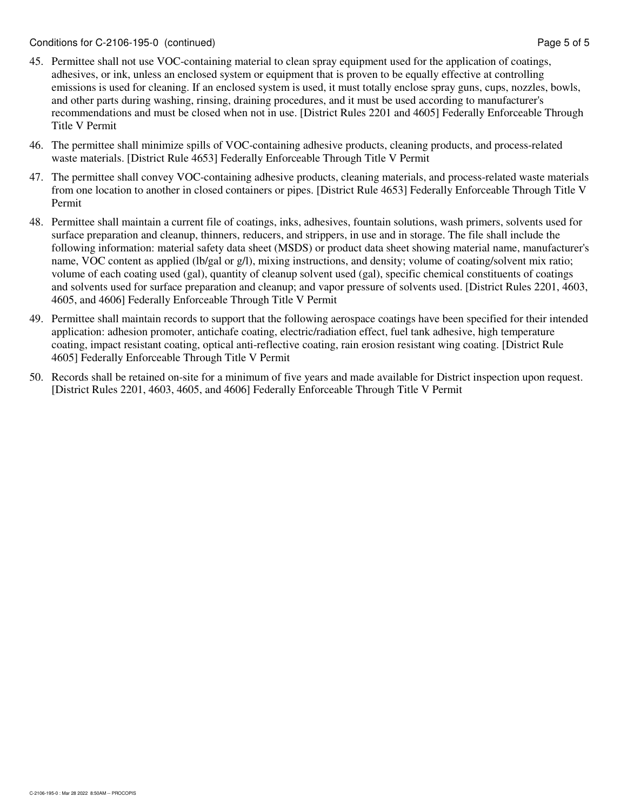- 45. Permittee shall not use VOC-containing material to clean spray equipment used for the application of coatings, adhesives, or ink, unless an enclosed system or equipment that is proven to be equally effective at controlling emissions is used for cleaning. If an enclosed system is used, it must totally enclose spray guns, cups, nozzles, bowls, and other parts during washing, rinsing, draining procedures, and it must be used according to manufacturer's recommendations and must be closed when not in use. [District Rules 2201 and 4605] Federally Enforceable Through Title V Permit
- 46. The permittee shall minimize spills of VOC-containing adhesive products, cleaning products, and process-related waste materials. [District Rule 4653] Federally Enforceable Through Title V Permit
- 47. The permittee shall convey VOC-containing adhesive products, cleaning materials, and process-related waste materials from one location to another in closed containers or pipes. [District Rule 4653] Federally Enforceable Through Title V Permit
- 48. Permittee shall maintain a current file of coatings, inks, adhesives, fountain solutions, wash primers, solvents used for surface preparation and cleanup, thinners, reducers, and strippers, in use and in storage. The file shall include the following information: material safety data sheet (MSDS) or product data sheet showing material name, manufacturer's name, VOC content as applied (lb/gal or g/l), mixing instructions, and density; volume of coating/solvent mix ratio; volume of each coating used (gal), quantity of cleanup solvent used (gal), specific chemical constituents of coatings and solvents used for surface preparation and cleanup; and vapor pressure of solvents used. [District Rules 2201, 4603, 4605, and 4606] Federally Enforceable Through Title V Permit
- 49. Permittee shall maintain records to support that the following aerospace coatings have been specified for their intended application: adhesion promoter, antichafe coating, electric/radiation effect, fuel tank adhesive, high temperature coating, impact resistant coating, optical anti-reflective coating, rain erosion resistant wing coating. [District Rule 4605] Federally Enforceable Through Title V Permit
- 50. Records shall be retained on-site for a minimum of five years and made available for District inspection upon request. [District Rules 2201, 4603, 4605, and 4606] Federally Enforceable Through Title V Permit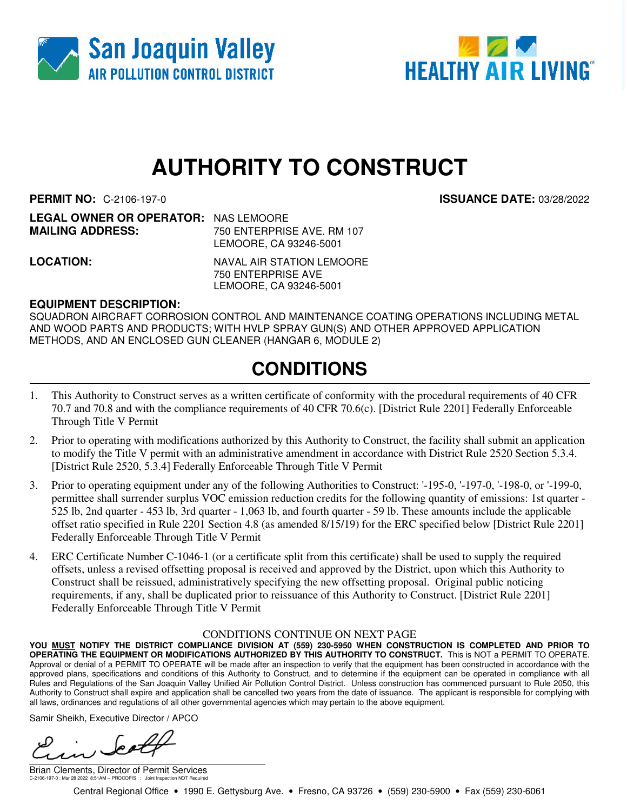



# **AUTHORITY TO CONSTRUCT**

**ENTERPRISE AVE. RM 107** 

**PERMIT NO:** C-2106-197-0 **ISSUANCE DATE:** 03/28/2022

| <b>LEGAL OWNER OR OPERATOR: NAS LEMOORE</b> |               |
|---------------------------------------------|---------------|
| <b>MAILING ADDRESS:</b>                     | 750 ENTERPRIS |
|                                             | .             |

LEMOORE, CA 93246-5001 **LOCATION:** NAVAL AIR STATION LEMOORE 750 ENTERPRISE AVE

LEMOORE, CA 93246-5001

#### **EQUIPMENT DESCRIPTION:**

SQUADRON AIRCRAFT CORROSION CONTROL AND MAINTENANCE COATING OPERATIONS INCLUDING METAL AND WOOD PARTS AND PRODUCTS; WITH HVLP SPRAY GUN(S) AND OTHER APPROVED APPLICATION METHODS, AND AN ENCLOSED GUN CLEANER (HANGAR 6, MODULE 2)

### **CONDITIONS**

- 1. This Authority to Construct serves as a written certificate of conformity with the procedural requirements of 40 CFR 70.7 and 70.8 and with the compliance requirements of 40 CFR 70.6(c). [District Rule 2201] Federally Enforceable Through Title V Permit
- 2. Prior to operating with modifications authorized by this Authority to Construct, the facility shall submit an application to modify the Title V permit with an administrative amendment in accordance with District Rule 2520 Section 5.3.4. [District Rule 2520, 5.3.4] Federally Enforceable Through Title V Permit
- 3. Prior to operating equipment under any of the following Authorities to Construct: '-195-0, '-197-0, '-198-0, or '-199-0, permittee shall surrender surplus VOC emission reduction credits for the following quantity of emissions: 1st quarter - 525 lb, 2nd quarter - 453 lb, 3rd quarter - 1,063 lb, and fourth quarter - 59 lb. These amounts include the applicable offset ratio specified in Rule 2201 Section 4.8 (as amended 8/15/19) for the ERC specified below [District Rule 2201] Federally Enforceable Through Title V Permit
- 4. ERC Certificate Number C-1046-1 (or a certificate split from this certificate) shall be used to supply the required offsets, unless a revised offsetting proposal is received and approved by the District, upon which this Authority to Construct shall be reissued, administratively specifying the new offsetting proposal. Original public noticing requirements, if any, shall be duplicated prior to reissuance of this Authority to Construct. [District Rule 2201] Federally Enforceable Through Title V Permit

#### CONDITIONS CONTINUE ON NEXT PAGE

**YOU MUST NOTIFY THE DISTRICT COMPLIANCE DIVISION AT (559) 230-5950 WHEN CONSTRUCTION IS COMPLETED AND PRIOR TO OPERATING THE EQUIPMENT OR MODIFICATIONS AUTHORIZED BY THIS AUTHORITY TO CONSTRUCT.** This is NOT a PERMIT TO OPERATE. Approval or denial of a PERMIT TO OPERATE will be made after an inspection to verify that the equipment has been constructed in accordance with the approved plans, specifications and conditions of this Authority to Construct, and to determine if the equipment can be operated in compliance with all Rules and Regulations of the San Joaquin Valley Unified Air Pollution Control District. Unless construction has commenced pursuant to Rule 2050, this Authority to Construct shall expire and application shall be cancelled two years from the date of issuance. The applicant is responsible for complying with all laws, ordinances and regulations of all other governmental agencies which may pertain to the above equipment.

Samir Sheikh, Executive Director / APCO

تە ھ  $\overline{\phantom{a}}$ 

Brian Clements, Director of Permit Services C-2106-197-0 : Mar 28 2022 8:51AM -- PROCOPIS : Joint Inspection NOT Required

Central Regional Office • 1990 E. Gettysburg Ave. • Fresno, CA 93726 • (559) 230-5900 • Fax (559) 230-6061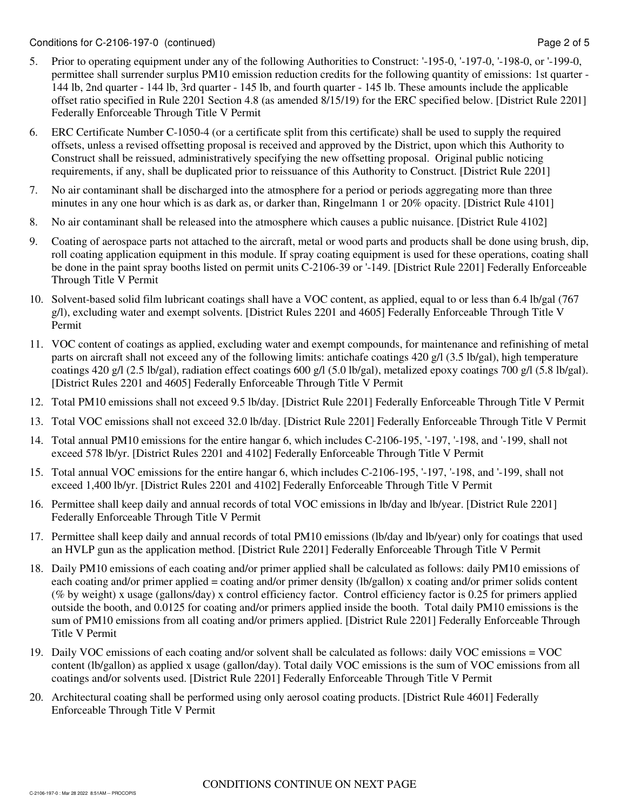- 5. Prior to operating equipment under any of the following Authorities to Construct: '-195-0, '-197-0, '-198-0, or '-199-0, permittee shall surrender surplus PM10 emission reduction credits for the following quantity of emissions: 1st quarter - 144 lb, 2nd quarter - 144 lb, 3rd quarter - 145 lb, and fourth quarter - 145 lb. These amounts include the applicable offset ratio specified in Rule 2201 Section 4.8 (as amended 8/15/19) for the ERC specified below. [District Rule 2201] Federally Enforceable Through Title V Permit
- 6. ERC Certificate Number C-1050-4 (or a certificate split from this certificate) shall be used to supply the required offsets, unless a revised offsetting proposal is received and approved by the District, upon which this Authority to Construct shall be reissued, administratively specifying the new offsetting proposal. Original public noticing requirements, if any, shall be duplicated prior to reissuance of this Authority to Construct. [District Rule 2201]
- 7. No air contaminant shall be discharged into the atmosphere for a period or periods aggregating more than three minutes in any one hour which is as dark as, or darker than, Ringelmann 1 or 20% opacity. [District Rule 4101]
- 8. No air contaminant shall be released into the atmosphere which causes a public nuisance. [District Rule 4102]
- 9. Coating of aerospace parts not attached to the aircraft, metal or wood parts and products shall be done using brush, dip, roll coating application equipment in this module. If spray coating equipment is used for these operations, coating shall be done in the paint spray booths listed on permit units C-2106-39 or '-149. [District Rule 2201] Federally Enforceable Through Title V Permit
- 10. Solvent-based solid film lubricant coatings shall have a VOC content, as applied, equal to or less than 6.4 lb/gal (767 g/l), excluding water and exempt solvents. [District Rules 2201 and 4605] Federally Enforceable Through Title V Permit
- 11. VOC content of coatings as applied, excluding water and exempt compounds, for maintenance and refinishing of metal parts on aircraft shall not exceed any of the following limits: antichafe coatings 420 g/l (3.5 lb/gal), high temperature coatings 420 g/l (2.5 lb/gal), radiation effect coatings 600 g/l (5.0 lb/gal), metalized epoxy coatings 700 g/l (5.8 lb/gal). [District Rules 2201 and 4605] Federally Enforceable Through Title V Permit
- 12. Total PM10 emissions shall not exceed 9.5 lb/day. [District Rule 2201] Federally Enforceable Through Title V Permit
- 13. Total VOC emissions shall not exceed 32.0 lb/day. [District Rule 2201] Federally Enforceable Through Title V Permit
- 14. Total annual PM10 emissions for the entire hangar 6, which includes C-2106-195, '-197, '-198, and '-199, shall not exceed 578 lb/yr. [District Rules 2201 and 4102] Federally Enforceable Through Title V Permit
- 15. Total annual VOC emissions for the entire hangar 6, which includes C-2106-195, '-197, '-198, and '-199, shall not exceed 1,400 lb/yr. [District Rules 2201 and 4102] Federally Enforceable Through Title V Permit
- 16. Permittee shall keep daily and annual records of total VOC emissions in lb/day and lb/year. [District Rule 2201] Federally Enforceable Through Title V Permit
- 17. Permittee shall keep daily and annual records of total PM10 emissions (lb/day and lb/year) only for coatings that used an HVLP gun as the application method. [District Rule 2201] Federally Enforceable Through Title V Permit
- 18. Daily PM10 emissions of each coating and/or primer applied shall be calculated as follows: daily PM10 emissions of each coating and/or primer applied = coating and/or primer density (lb/gallon) x coating and/or primer solids content (% by weight) x usage (gallons/day) x control efficiency factor. Control efficiency factor is 0.25 for primers applied outside the booth, and 0.0125 for coating and/or primers applied inside the booth. Total daily PM10 emissions is the sum of PM10 emissions from all coating and/or primers applied. [District Rule 2201] Federally Enforceable Through Title V Permit
- 19. Daily VOC emissions of each coating and/or solvent shall be calculated as follows: daily VOC emissions = VOC content (lb/gallon) as applied x usage (gallon/day). Total daily VOC emissions is the sum of VOC emissions from all coatings and/or solvents used. [District Rule 2201] Federally Enforceable Through Title V Permit
- 20. Architectural coating shall be performed using only aerosol coating products. [District Rule 4601] Federally Enforceable Through Title V Permit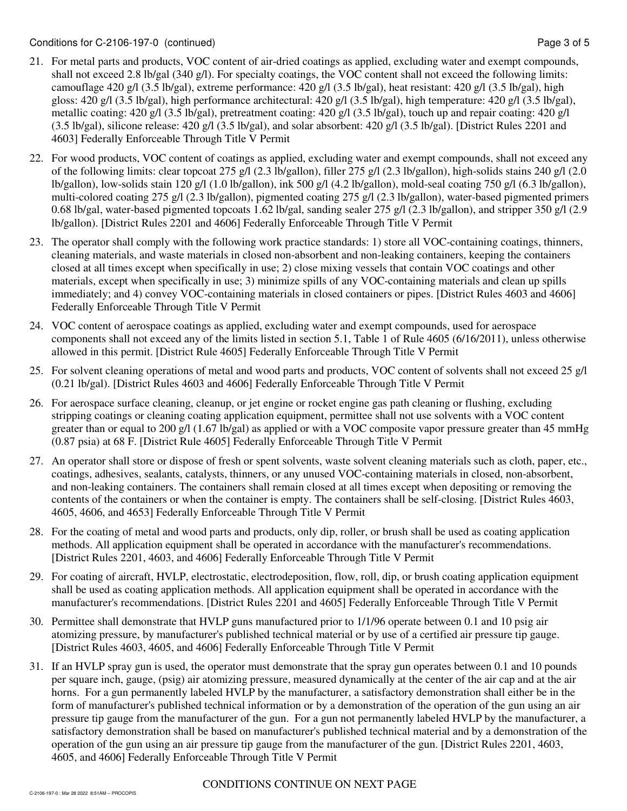- 21. For metal parts and products, VOC content of air-dried coatings as applied, excluding water and exempt compounds, shall not exceed 2.8 lb/gal (340 g/l). For specialty coatings, the VOC content shall not exceed the following limits: camouflage 420 g/l (3.5 lb/gal), extreme performance: 420 g/l (3.5 lb/gal), heat resistant: 420 g/l (3.5 lb/gal), high gloss: 420 g/l (3.5 lb/gal), high performance architectural: 420 g/l (3.5 lb/gal), high temperature: 420 g/l (3.5 lb/gal), metallic coating: 420 g/l (3.5 lb/gal), pretreatment coating: 420 g/l (3.5 lb/gal), touch up and repair coating: 420 g/l  $(3.5 \text{ lb/gal})$ , silicone release:  $420 \text{ g/l}$   $(3.5 \text{ lb/gal})$ , and solar absorbent:  $420 \text{ g/l}$   $(3.5 \text{ lb/gal})$ . [District Rules 2201 and 4603] Federally Enforceable Through Title V Permit
- 22. For wood products, VOC content of coatings as applied, excluding water and exempt compounds, shall not exceed any of the following limits: clear topcoat 275 g/l (2.3 lb/gallon), filler 275 g/l (2.3 lb/gallon), high-solids stains 240 g/l (2.0 lb/gallon), low-solids stain 120 g/l (1.0 lb/gallon), ink 500 g/l (4.2 lb/gallon), mold-seal coating 750 g/l (6.3 lb/gallon), multi-colored coating 275 g/l (2.3 lb/gallon), pigmented coating 275 g/l (2.3 lb/gallon), water-based pigmented primers 0.68 lb/gal, water-based pigmented topcoats 1.62 lb/gal, sanding sealer 275 g/l (2.3 lb/gallon), and stripper 350 g/l (2.9 lb/gallon). [District Rules 2201 and 4606] Federally Enforceable Through Title V Permit
- 23. The operator shall comply with the following work practice standards: 1) store all VOC-containing coatings, thinners, cleaning materials, and waste materials in closed non-absorbent and non-leaking containers, keeping the containers closed at all times except when specifically in use; 2) close mixing vessels that contain VOC coatings and other materials, except when specifically in use; 3) minimize spills of any VOC-containing materials and clean up spills immediately; and 4) convey VOC-containing materials in closed containers or pipes. [District Rules 4603 and 4606] Federally Enforceable Through Title V Permit
- 24. VOC content of aerospace coatings as applied, excluding water and exempt compounds, used for aerospace components shall not exceed any of the limits listed in section 5.1, Table 1 of Rule 4605 (6/16/2011), unless otherwise allowed in this permit. [District Rule 4605] Federally Enforceable Through Title V Permit
- 25. For solvent cleaning operations of metal and wood parts and products, VOC content of solvents shall not exceed 25 g/l (0.21 lb/gal). [District Rules 4603 and 4606] Federally Enforceable Through Title V Permit
- 26. For aerospace surface cleaning, cleanup, or jet engine or rocket engine gas path cleaning or flushing, excluding stripping coatings or cleaning coating application equipment, permittee shall not use solvents with a VOC content greater than or equal to 200 g/l (1.67 lb/gal) as applied or with a VOC composite vapor pressure greater than 45 mmHg (0.87 psia) at 68 F. [District Rule 4605] Federally Enforceable Through Title V Permit
- 27. An operator shall store or dispose of fresh or spent solvents, waste solvent cleaning materials such as cloth, paper, etc., coatings, adhesives, sealants, catalysts, thinners, or any unused VOC-containing materials in closed, non-absorbent, and non-leaking containers. The containers shall remain closed at all times except when depositing or removing the contents of the containers or when the container is empty. The containers shall be self-closing. [District Rules 4603, 4605, 4606, and 4653] Federally Enforceable Through Title V Permit
- 28. For the coating of metal and wood parts and products, only dip, roller, or brush shall be used as coating application methods. All application equipment shall be operated in accordance with the manufacturer's recommendations. [District Rules 2201, 4603, and 4606] Federally Enforceable Through Title V Permit
- 29. For coating of aircraft, HVLP, electrostatic, electrodeposition, flow, roll, dip, or brush coating application equipment shall be used as coating application methods. All application equipment shall be operated in accordance with the manufacturer's recommendations. [District Rules 2201 and 4605] Federally Enforceable Through Title V Permit
- 30. Permittee shall demonstrate that HVLP guns manufactured prior to 1/1/96 operate between 0.1 and 10 psig air atomizing pressure, by manufacturer's published technical material or by use of a certified air pressure tip gauge. [District Rules 4603, 4605, and 4606] Federally Enforceable Through Title V Permit
- 31. If an HVLP spray gun is used, the operator must demonstrate that the spray gun operates between 0.1 and 10 pounds per square inch, gauge, (psig) air atomizing pressure, measured dynamically at the center of the air cap and at the air horns. For a gun permanently labeled HVLP by the manufacturer, a satisfactory demonstration shall either be in the form of manufacturer's published technical information or by a demonstration of the operation of the gun using an air pressure tip gauge from the manufacturer of the gun. For a gun not permanently labeled HVLP by the manufacturer, a satisfactory demonstration shall be based on manufacturer's published technical material and by a demonstration of the operation of the gun using an air pressure tip gauge from the manufacturer of the gun. [District Rules 2201, 4603, 4605, and 4606] Federally Enforceable Through Title V Permit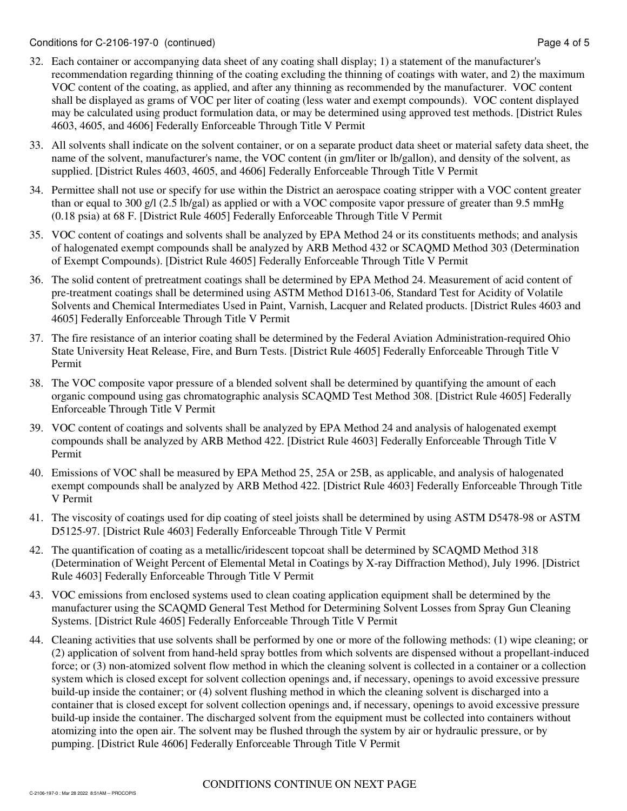- 32. Each container or accompanying data sheet of any coating shall display; 1) a statement of the manufacturer's recommendation regarding thinning of the coating excluding the thinning of coatings with water, and 2) the maximum VOC content of the coating, as applied, and after any thinning as recommended by the manufacturer. VOC content shall be displayed as grams of VOC per liter of coating (less water and exempt compounds). VOC content displayed may be calculated using product formulation data, or may be determined using approved test methods. [District Rules 4603, 4605, and 4606] Federally Enforceable Through Title V Permit
- 33. All solvents shall indicate on the solvent container, or on a separate product data sheet or material safety data sheet, the name of the solvent, manufacturer's name, the VOC content (in gm/liter or lb/gallon), and density of the solvent, as supplied. [District Rules 4603, 4605, and 4606] Federally Enforceable Through Title V Permit
- 34. Permittee shall not use or specify for use within the District an aerospace coating stripper with a VOC content greater than or equal to 300 g/l (2.5 lb/gal) as applied or with a VOC composite vapor pressure of greater than 9.5 mmHg (0.18 psia) at 68 F. [District Rule 4605] Federally Enforceable Through Title V Permit
- 35. VOC content of coatings and solvents shall be analyzed by EPA Method 24 or its constituents methods; and analysis of halogenated exempt compounds shall be analyzed by ARB Method 432 or SCAQMD Method 303 (Determination of Exempt Compounds). [District Rule 4605] Federally Enforceable Through Title V Permit
- 36. The solid content of pretreatment coatings shall be determined by EPA Method 24. Measurement of acid content of pre-treatment coatings shall be determined using ASTM Method D1613-06, Standard Test for Acidity of Volatile Solvents and Chemical Intermediates Used in Paint, Varnish, Lacquer and Related products. [District Rules 4603 and 4605] Federally Enforceable Through Title V Permit
- 37. The fire resistance of an interior coating shall be determined by the Federal Aviation Administration-required Ohio State University Heat Release, Fire, and Burn Tests. [District Rule 4605] Federally Enforceable Through Title V Permit
- 38. The VOC composite vapor pressure of a blended solvent shall be determined by quantifying the amount of each organic compound using gas chromatographic analysis SCAQMD Test Method 308. [District Rule 4605] Federally Enforceable Through Title V Permit
- 39. VOC content of coatings and solvents shall be analyzed by EPA Method 24 and analysis of halogenated exempt compounds shall be analyzed by ARB Method 422. [District Rule 4603] Federally Enforceable Through Title V Permit
- 40. Emissions of VOC shall be measured by EPA Method 25, 25A or 25B, as applicable, and analysis of halogenated exempt compounds shall be analyzed by ARB Method 422. [District Rule 4603] Federally Enforceable Through Title V Permit
- 41. The viscosity of coatings used for dip coating of steel joists shall be determined by using ASTM D5478-98 or ASTM D5125-97. [District Rule 4603] Federally Enforceable Through Title V Permit
- 42. The quantification of coating as a metallic/iridescent topcoat shall be determined by SCAQMD Method 318 (Determination of Weight Percent of Elemental Metal in Coatings by X-ray Diffraction Method), July 1996. [District Rule 4603] Federally Enforceable Through Title V Permit
- 43. VOC emissions from enclosed systems used to clean coating application equipment shall be determined by the manufacturer using the SCAQMD General Test Method for Determining Solvent Losses from Spray Gun Cleaning Systems. [District Rule 4605] Federally Enforceable Through Title V Permit
- 44. Cleaning activities that use solvents shall be performed by one or more of the following methods: (1) wipe cleaning; or (2) application of solvent from hand-held spray bottles from which solvents are dispensed without a propellant-induced force; or (3) non-atomized solvent flow method in which the cleaning solvent is collected in a container or a collection system which is closed except for solvent collection openings and, if necessary, openings to avoid excessive pressure build-up inside the container; or (4) solvent flushing method in which the cleaning solvent is discharged into a container that is closed except for solvent collection openings and, if necessary, openings to avoid excessive pressure build-up inside the container. The discharged solvent from the equipment must be collected into containers without atomizing into the open air. The solvent may be flushed through the system by air or hydraulic pressure, or by pumping. [District Rule 4606] Federally Enforceable Through Title V Permit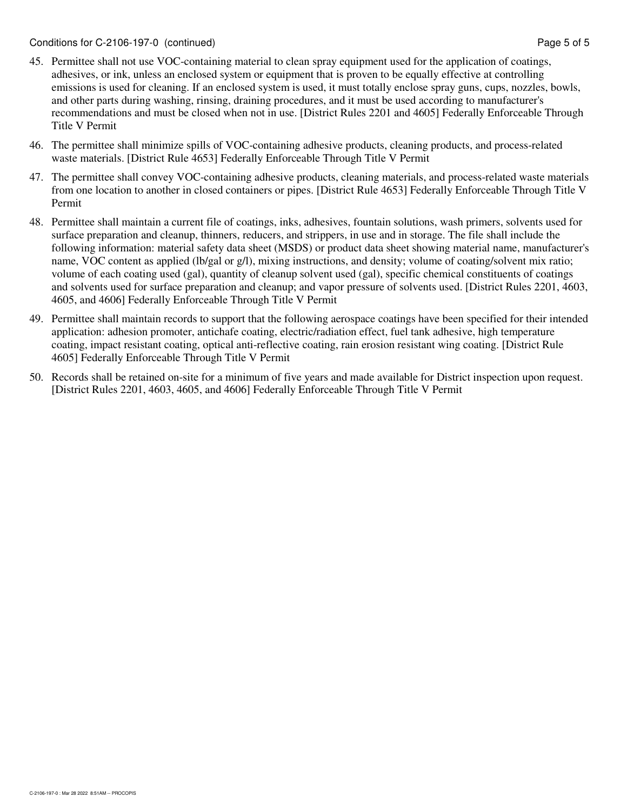- 45. Permittee shall not use VOC-containing material to clean spray equipment used for the application of coatings, adhesives, or ink, unless an enclosed system or equipment that is proven to be equally effective at controlling emissions is used for cleaning. If an enclosed system is used, it must totally enclose spray guns, cups, nozzles, bowls, and other parts during washing, rinsing, draining procedures, and it must be used according to manufacturer's recommendations and must be closed when not in use. [District Rules 2201 and 4605] Federally Enforceable Through Title V Permit
- 46. The permittee shall minimize spills of VOC-containing adhesive products, cleaning products, and process-related waste materials. [District Rule 4653] Federally Enforceable Through Title V Permit
- 47. The permittee shall convey VOC-containing adhesive products, cleaning materials, and process-related waste materials from one location to another in closed containers or pipes. [District Rule 4653] Federally Enforceable Through Title V Permit
- 48. Permittee shall maintain a current file of coatings, inks, adhesives, fountain solutions, wash primers, solvents used for surface preparation and cleanup, thinners, reducers, and strippers, in use and in storage. The file shall include the following information: material safety data sheet (MSDS) or product data sheet showing material name, manufacturer's name, VOC content as applied (lb/gal or g/l), mixing instructions, and density; volume of coating/solvent mix ratio; volume of each coating used (gal), quantity of cleanup solvent used (gal), specific chemical constituents of coatings and solvents used for surface preparation and cleanup; and vapor pressure of solvents used. [District Rules 2201, 4603, 4605, and 4606] Federally Enforceable Through Title V Permit
- 49. Permittee shall maintain records to support that the following aerospace coatings have been specified for their intended application: adhesion promoter, antichafe coating, electric/radiation effect, fuel tank adhesive, high temperature coating, impact resistant coating, optical anti-reflective coating, rain erosion resistant wing coating. [District Rule 4605] Federally Enforceable Through Title V Permit
- 50. Records shall be retained on-site for a minimum of five years and made available for District inspection upon request. [District Rules 2201, 4603, 4605, and 4606] Federally Enforceable Through Title V Permit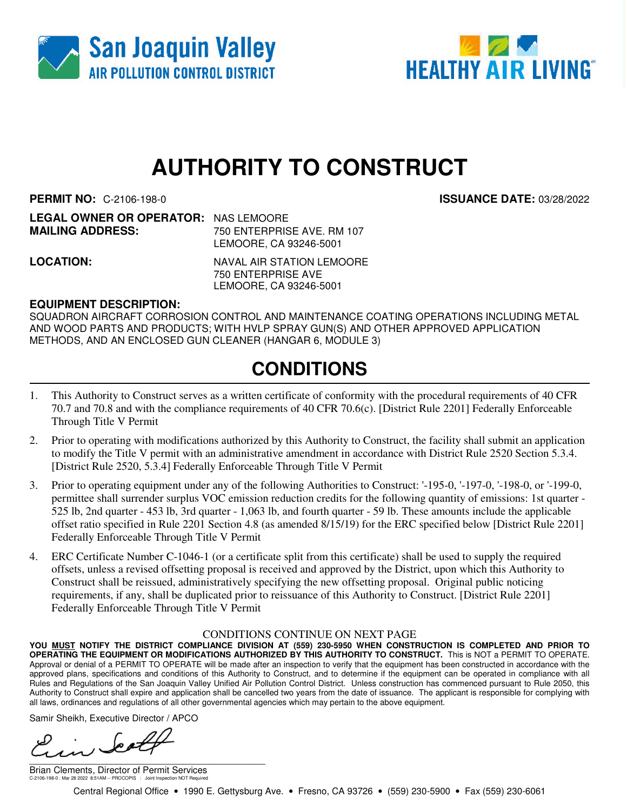



# **AUTHORITY TO CONSTRUCT**

**PERMIT NO:** C-2106-198-0 **ISSUANCE DATE:** 03/28/2022

| <b>LEGAL OWNER OR OPERATOR: NAS LEMOORE</b> |                            |
|---------------------------------------------|----------------------------|
| <b>MAILING ADDRESS:</b>                     | 750 ENTERPRISE AVE, RM 107 |
|                                             | LEMOORE, CA 93246-5001     |

**LOCATION:** NAVAL AIR STATION LEMOORE 750 ENTERPRISE AVE LEMOORE, CA 93246-5001

#### **EQUIPMENT DESCRIPTION:**

SQUADRON AIRCRAFT CORROSION CONTROL AND MAINTENANCE COATING OPERATIONS INCLUDING METAL AND WOOD PARTS AND PRODUCTS; WITH HVLP SPRAY GUN(S) AND OTHER APPROVED APPLICATION METHODS, AND AN ENCLOSED GUN CLEANER (HANGAR 6, MODULE 3)

### **CONDITIONS**

- 1. This Authority to Construct serves as a written certificate of conformity with the procedural requirements of 40 CFR 70.7 and 70.8 and with the compliance requirements of 40 CFR 70.6(c). [District Rule 2201] Federally Enforceable Through Title V Permit
- 2. Prior to operating with modifications authorized by this Authority to Construct, the facility shall submit an application to modify the Title V permit with an administrative amendment in accordance with District Rule 2520 Section 5.3.4. [District Rule 2520, 5.3.4] Federally Enforceable Through Title V Permit
- 3. Prior to operating equipment under any of the following Authorities to Construct: '-195-0, '-197-0, '-198-0, or '-199-0, permittee shall surrender surplus VOC emission reduction credits for the following quantity of emissions: 1st quarter - 525 lb, 2nd quarter - 453 lb, 3rd quarter - 1,063 lb, and fourth quarter - 59 lb. These amounts include the applicable offset ratio specified in Rule 2201 Section 4.8 (as amended 8/15/19) for the ERC specified below [District Rule 2201] Federally Enforceable Through Title V Permit
- 4. ERC Certificate Number C-1046-1 (or a certificate split from this certificate) shall be used to supply the required offsets, unless a revised offsetting proposal is received and approved by the District, upon which this Authority to Construct shall be reissued, administratively specifying the new offsetting proposal. Original public noticing requirements, if any, shall be duplicated prior to reissuance of this Authority to Construct. [District Rule 2201] Federally Enforceable Through Title V Permit

#### CONDITIONS CONTINUE ON NEXT PAGE

**YOU MUST NOTIFY THE DISTRICT COMPLIANCE DIVISION AT (559) 230-5950 WHEN CONSTRUCTION IS COMPLETED AND PRIOR TO OPERATING THE EQUIPMENT OR MODIFICATIONS AUTHORIZED BY THIS AUTHORITY TO CONSTRUCT.** This is NOT a PERMIT TO OPERATE. Approval or denial of a PERMIT TO OPERATE will be made after an inspection to verify that the equipment has been constructed in accordance with the approved plans, specifications and conditions of this Authority to Construct, and to determine if the equipment can be operated in compliance with all Rules and Regulations of the San Joaquin Valley Unified Air Pollution Control District. Unless construction has commenced pursuant to Rule 2050, this Authority to Construct shall expire and application shall be cancelled two years from the date of issuance. The applicant is responsible for complying with all laws, ordinances and regulations of all other governmental agencies which may pertain to the above equipment.

Samir Sheikh, Executive Director / APCO

تنص \_\_\_\_\_\_\_\_\_\_\_\_\_\_\_\_\_\_\_\_\_\_\_\_\_\_\_\_\_\_\_\_\_\_\_\_\_\_\_\_\_\_\_\_\_\_

Brian Clements, Director of Permit Services C-2106-198-0 : Mar 28 2022 8:51AM -- PROCOPIS : Joint Inspection NOT Required

Central Regional Office • 1990 E. Gettysburg Ave. • Fresno, CA 93726 • (559) 230-5900 • Fax (559) 230-6061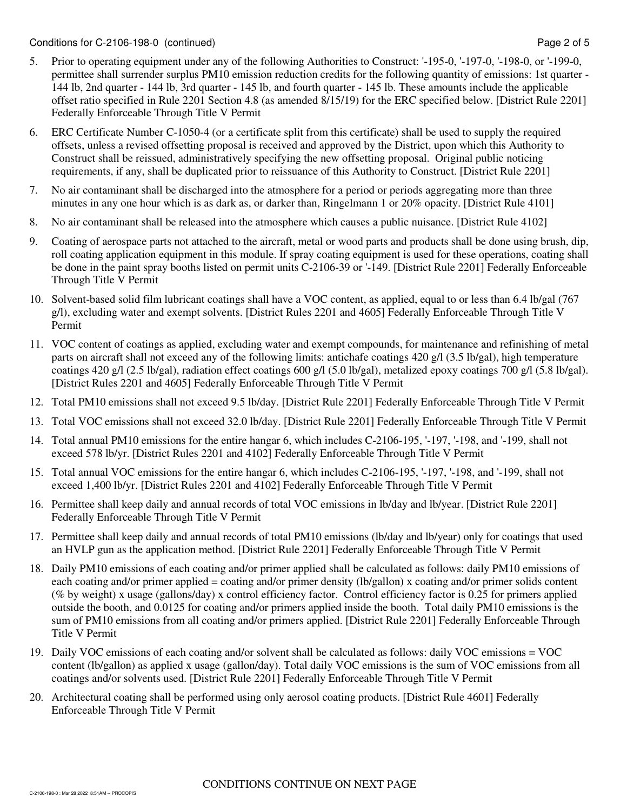- 5. Prior to operating equipment under any of the following Authorities to Construct: '-195-0, '-197-0, '-198-0, or '-199-0, permittee shall surrender surplus PM10 emission reduction credits for the following quantity of emissions: 1st quarter - 144 lb, 2nd quarter - 144 lb, 3rd quarter - 145 lb, and fourth quarter - 145 lb. These amounts include the applicable offset ratio specified in Rule 2201 Section 4.8 (as amended 8/15/19) for the ERC specified below. [District Rule 2201] Federally Enforceable Through Title V Permit
- 6. ERC Certificate Number C-1050-4 (or a certificate split from this certificate) shall be used to supply the required offsets, unless a revised offsetting proposal is received and approved by the District, upon which this Authority to Construct shall be reissued, administratively specifying the new offsetting proposal. Original public noticing requirements, if any, shall be duplicated prior to reissuance of this Authority to Construct. [District Rule 2201]
- 7. No air contaminant shall be discharged into the atmosphere for a period or periods aggregating more than three minutes in any one hour which is as dark as, or darker than, Ringelmann 1 or 20% opacity. [District Rule 4101]
- 8. No air contaminant shall be released into the atmosphere which causes a public nuisance. [District Rule 4102]
- 9. Coating of aerospace parts not attached to the aircraft, metal or wood parts and products shall be done using brush, dip, roll coating application equipment in this module. If spray coating equipment is used for these operations, coating shall be done in the paint spray booths listed on permit units C-2106-39 or '-149. [District Rule 2201] Federally Enforceable Through Title V Permit
- 10. Solvent-based solid film lubricant coatings shall have a VOC content, as applied, equal to or less than 6.4 lb/gal (767 g/l), excluding water and exempt solvents. [District Rules 2201 and 4605] Federally Enforceable Through Title V Permit
- 11. VOC content of coatings as applied, excluding water and exempt compounds, for maintenance and refinishing of metal parts on aircraft shall not exceed any of the following limits: antichafe coatings 420 g/l (3.5 lb/gal), high temperature coatings 420 g/l (2.5 lb/gal), radiation effect coatings 600 g/l (5.0 lb/gal), metalized epoxy coatings 700 g/l (5.8 lb/gal). [District Rules 2201 and 4605] Federally Enforceable Through Title V Permit
- 12. Total PM10 emissions shall not exceed 9.5 lb/day. [District Rule 2201] Federally Enforceable Through Title V Permit
- 13. Total VOC emissions shall not exceed 32.0 lb/day. [District Rule 2201] Federally Enforceable Through Title V Permit
- 14. Total annual PM10 emissions for the entire hangar 6, which includes C-2106-195, '-197, '-198, and '-199, shall not exceed 578 lb/yr. [District Rules 2201 and 4102] Federally Enforceable Through Title V Permit
- 15. Total annual VOC emissions for the entire hangar 6, which includes C-2106-195, '-197, '-198, and '-199, shall not exceed 1,400 lb/yr. [District Rules 2201 and 4102] Federally Enforceable Through Title V Permit
- 16. Permittee shall keep daily and annual records of total VOC emissions in lb/day and lb/year. [District Rule 2201] Federally Enforceable Through Title V Permit
- 17. Permittee shall keep daily and annual records of total PM10 emissions (lb/day and lb/year) only for coatings that used an HVLP gun as the application method. [District Rule 2201] Federally Enforceable Through Title V Permit
- 18. Daily PM10 emissions of each coating and/or primer applied shall be calculated as follows: daily PM10 emissions of each coating and/or primer applied = coating and/or primer density (lb/gallon) x coating and/or primer solids content (% by weight) x usage (gallons/day) x control efficiency factor. Control efficiency factor is 0.25 for primers applied outside the booth, and 0.0125 for coating and/or primers applied inside the booth. Total daily PM10 emissions is the sum of PM10 emissions from all coating and/or primers applied. [District Rule 2201] Federally Enforceable Through Title V Permit
- 19. Daily VOC emissions of each coating and/or solvent shall be calculated as follows: daily VOC emissions = VOC content (lb/gallon) as applied x usage (gallon/day). Total daily VOC emissions is the sum of VOC emissions from all coatings and/or solvents used. [District Rule 2201] Federally Enforceable Through Title V Permit
- 20. Architectural coating shall be performed using only aerosol coating products. [District Rule 4601] Federally Enforceable Through Title V Permit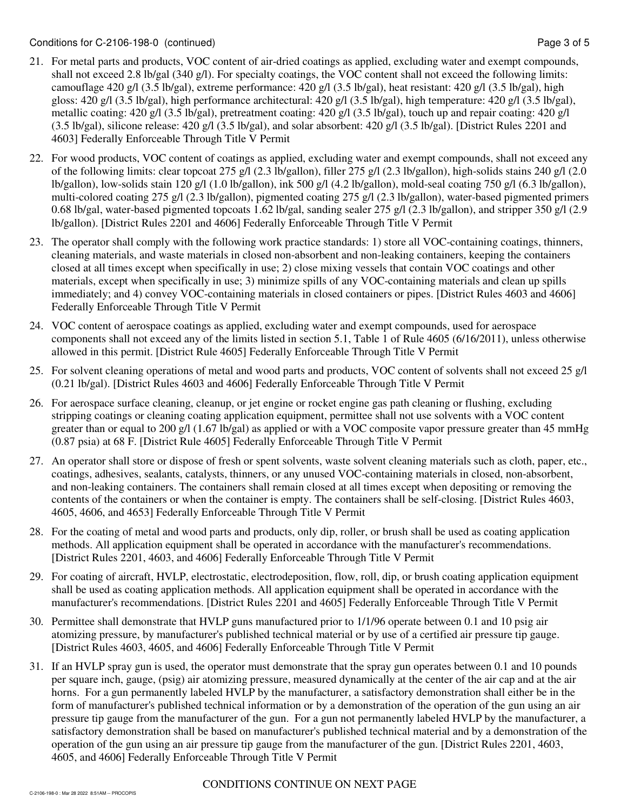- 21. For metal parts and products, VOC content of air-dried coatings as applied, excluding water and exempt compounds, shall not exceed 2.8 lb/gal (340 g/l). For specialty coatings, the VOC content shall not exceed the following limits: camouflage 420 g/l (3.5 lb/gal), extreme performance: 420 g/l (3.5 lb/gal), heat resistant: 420 g/l (3.5 lb/gal), high gloss: 420 g/l (3.5 lb/gal), high performance architectural: 420 g/l (3.5 lb/gal), high temperature: 420 g/l (3.5 lb/gal), metallic coating: 420 g/l (3.5 lb/gal), pretreatment coating: 420 g/l (3.5 lb/gal), touch up and repair coating: 420 g/l  $(3.5 \text{ lb/gal})$ , silicone release:  $420 \text{ g/l}$   $(3.5 \text{ lb/gal})$ , and solar absorbent:  $420 \text{ g/l}$   $(3.5 \text{ lb/gal})$ . [District Rules 2201 and 4603] Federally Enforceable Through Title V Permit
- 22. For wood products, VOC content of coatings as applied, excluding water and exempt compounds, shall not exceed any of the following limits: clear topcoat 275 g/l (2.3 lb/gallon), filler 275 g/l (2.3 lb/gallon), high-solids stains 240 g/l (2.0 lb/gallon), low-solids stain 120 g/l (1.0 lb/gallon), ink 500 g/l (4.2 lb/gallon), mold-seal coating 750 g/l (6.3 lb/gallon), multi-colored coating 275 g/l (2.3 lb/gallon), pigmented coating 275 g/l (2.3 lb/gallon), water-based pigmented primers 0.68 lb/gal, water-based pigmented topcoats 1.62 lb/gal, sanding sealer 275 g/l (2.3 lb/gallon), and stripper 350 g/l (2.9 lb/gallon). [District Rules 2201 and 4606] Federally Enforceable Through Title V Permit
- 23. The operator shall comply with the following work practice standards: 1) store all VOC-containing coatings, thinners, cleaning materials, and waste materials in closed non-absorbent and non-leaking containers, keeping the containers closed at all times except when specifically in use; 2) close mixing vessels that contain VOC coatings and other materials, except when specifically in use; 3) minimize spills of any VOC-containing materials and clean up spills immediately; and 4) convey VOC-containing materials in closed containers or pipes. [District Rules 4603 and 4606] Federally Enforceable Through Title V Permit
- 24. VOC content of aerospace coatings as applied, excluding water and exempt compounds, used for aerospace components shall not exceed any of the limits listed in section 5.1, Table 1 of Rule 4605 (6/16/2011), unless otherwise allowed in this permit. [District Rule 4605] Federally Enforceable Through Title V Permit
- 25. For solvent cleaning operations of metal and wood parts and products, VOC content of solvents shall not exceed 25 g/l (0.21 lb/gal). [District Rules 4603 and 4606] Federally Enforceable Through Title V Permit
- 26. For aerospace surface cleaning, cleanup, or jet engine or rocket engine gas path cleaning or flushing, excluding stripping coatings or cleaning coating application equipment, permittee shall not use solvents with a VOC content greater than or equal to 200 g/l (1.67 lb/gal) as applied or with a VOC composite vapor pressure greater than 45 mmHg (0.87 psia) at 68 F. [District Rule 4605] Federally Enforceable Through Title V Permit
- 27. An operator shall store or dispose of fresh or spent solvents, waste solvent cleaning materials such as cloth, paper, etc., coatings, adhesives, sealants, catalysts, thinners, or any unused VOC-containing materials in closed, non-absorbent, and non-leaking containers. The containers shall remain closed at all times except when depositing or removing the contents of the containers or when the container is empty. The containers shall be self-closing. [District Rules 4603, 4605, 4606, and 4653] Federally Enforceable Through Title V Permit
- 28. For the coating of metal and wood parts and products, only dip, roller, or brush shall be used as coating application methods. All application equipment shall be operated in accordance with the manufacturer's recommendations. [District Rules 2201, 4603, and 4606] Federally Enforceable Through Title V Permit
- 29. For coating of aircraft, HVLP, electrostatic, electrodeposition, flow, roll, dip, or brush coating application equipment shall be used as coating application methods. All application equipment shall be operated in accordance with the manufacturer's recommendations. [District Rules 2201 and 4605] Federally Enforceable Through Title V Permit
- 30. Permittee shall demonstrate that HVLP guns manufactured prior to 1/1/96 operate between 0.1 and 10 psig air atomizing pressure, by manufacturer's published technical material or by use of a certified air pressure tip gauge. [District Rules 4603, 4605, and 4606] Federally Enforceable Through Title V Permit
- 31. If an HVLP spray gun is used, the operator must demonstrate that the spray gun operates between 0.1 and 10 pounds per square inch, gauge, (psig) air atomizing pressure, measured dynamically at the center of the air cap and at the air horns. For a gun permanently labeled HVLP by the manufacturer, a satisfactory demonstration shall either be in the form of manufacturer's published technical information or by a demonstration of the operation of the gun using an air pressure tip gauge from the manufacturer of the gun. For a gun not permanently labeled HVLP by the manufacturer, a satisfactory demonstration shall be based on manufacturer's published technical material and by a demonstration of the operation of the gun using an air pressure tip gauge from the manufacturer of the gun. [District Rules 2201, 4603, 4605, and 4606] Federally Enforceable Through Title V Permit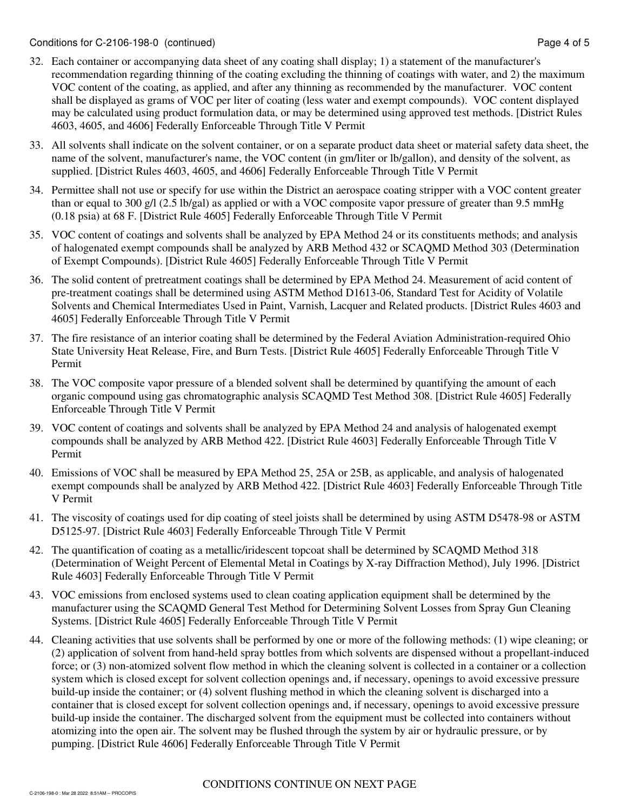- 32. Each container or accompanying data sheet of any coating shall display; 1) a statement of the manufacturer's recommendation regarding thinning of the coating excluding the thinning of coatings with water, and 2) the maximum VOC content of the coating, as applied, and after any thinning as recommended by the manufacturer. VOC content shall be displayed as grams of VOC per liter of coating (less water and exempt compounds). VOC content displayed may be calculated using product formulation data, or may be determined using approved test methods. [District Rules 4603, 4605, and 4606] Federally Enforceable Through Title V Permit
- 33. All solvents shall indicate on the solvent container, or on a separate product data sheet or material safety data sheet, the name of the solvent, manufacturer's name, the VOC content (in gm/liter or lb/gallon), and density of the solvent, as supplied. [District Rules 4603, 4605, and 4606] Federally Enforceable Through Title V Permit
- 34. Permittee shall not use or specify for use within the District an aerospace coating stripper with a VOC content greater than or equal to 300 g/l (2.5 lb/gal) as applied or with a VOC composite vapor pressure of greater than 9.5 mmHg (0.18 psia) at 68 F. [District Rule 4605] Federally Enforceable Through Title V Permit
- 35. VOC content of coatings and solvents shall be analyzed by EPA Method 24 or its constituents methods; and analysis of halogenated exempt compounds shall be analyzed by ARB Method 432 or SCAQMD Method 303 (Determination of Exempt Compounds). [District Rule 4605] Federally Enforceable Through Title V Permit
- 36. The solid content of pretreatment coatings shall be determined by EPA Method 24. Measurement of acid content of pre-treatment coatings shall be determined using ASTM Method D1613-06, Standard Test for Acidity of Volatile Solvents and Chemical Intermediates Used in Paint, Varnish, Lacquer and Related products. [District Rules 4603 and 4605] Federally Enforceable Through Title V Permit
- 37. The fire resistance of an interior coating shall be determined by the Federal Aviation Administration-required Ohio State University Heat Release, Fire, and Burn Tests. [District Rule 4605] Federally Enforceable Through Title V Permit
- 38. The VOC composite vapor pressure of a blended solvent shall be determined by quantifying the amount of each organic compound using gas chromatographic analysis SCAQMD Test Method 308. [District Rule 4605] Federally Enforceable Through Title V Permit
- 39. VOC content of coatings and solvents shall be analyzed by EPA Method 24 and analysis of halogenated exempt compounds shall be analyzed by ARB Method 422. [District Rule 4603] Federally Enforceable Through Title V Permit
- 40. Emissions of VOC shall be measured by EPA Method 25, 25A or 25B, as applicable, and analysis of halogenated exempt compounds shall be analyzed by ARB Method 422. [District Rule 4603] Federally Enforceable Through Title V Permit
- 41. The viscosity of coatings used for dip coating of steel joists shall be determined by using ASTM D5478-98 or ASTM D5125-97. [District Rule 4603] Federally Enforceable Through Title V Permit
- 42. The quantification of coating as a metallic/iridescent topcoat shall be determined by SCAQMD Method 318 (Determination of Weight Percent of Elemental Metal in Coatings by X-ray Diffraction Method), July 1996. [District Rule 4603] Federally Enforceable Through Title V Permit
- 43. VOC emissions from enclosed systems used to clean coating application equipment shall be determined by the manufacturer using the SCAQMD General Test Method for Determining Solvent Losses from Spray Gun Cleaning Systems. [District Rule 4605] Federally Enforceable Through Title V Permit
- 44. Cleaning activities that use solvents shall be performed by one or more of the following methods: (1) wipe cleaning; or (2) application of solvent from hand-held spray bottles from which solvents are dispensed without a propellant-induced force; or (3) non-atomized solvent flow method in which the cleaning solvent is collected in a container or a collection system which is closed except for solvent collection openings and, if necessary, openings to avoid excessive pressure build-up inside the container; or (4) solvent flushing method in which the cleaning solvent is discharged into a container that is closed except for solvent collection openings and, if necessary, openings to avoid excessive pressure build-up inside the container. The discharged solvent from the equipment must be collected into containers without atomizing into the open air. The solvent may be flushed through the system by air or hydraulic pressure, or by pumping. [District Rule 4606] Federally Enforceable Through Title V Permit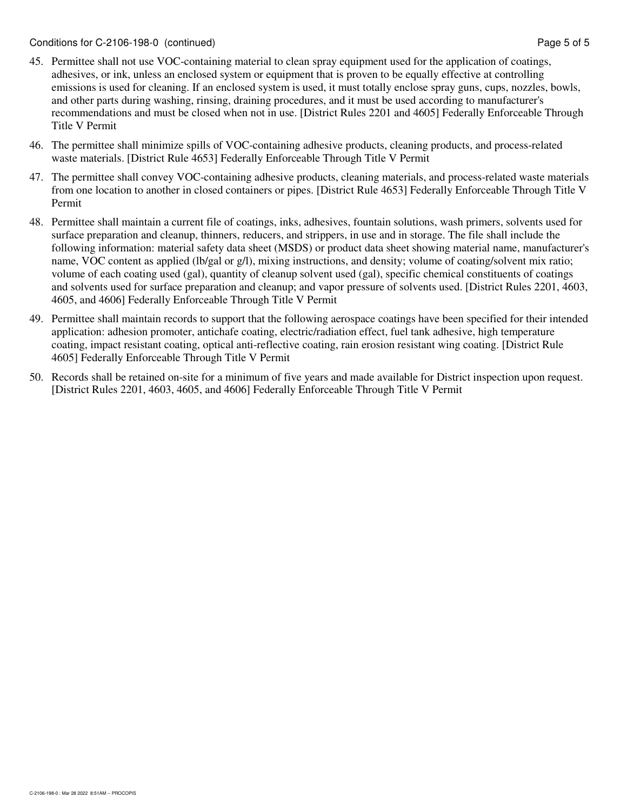- 45. Permittee shall not use VOC-containing material to clean spray equipment used for the application of coatings, adhesives, or ink, unless an enclosed system or equipment that is proven to be equally effective at controlling emissions is used for cleaning. If an enclosed system is used, it must totally enclose spray guns, cups, nozzles, bowls, and other parts during washing, rinsing, draining procedures, and it must be used according to manufacturer's recommendations and must be closed when not in use. [District Rules 2201 and 4605] Federally Enforceable Through Title V Permit
- 46. The permittee shall minimize spills of VOC-containing adhesive products, cleaning products, and process-related waste materials. [District Rule 4653] Federally Enforceable Through Title V Permit
- 47. The permittee shall convey VOC-containing adhesive products, cleaning materials, and process-related waste materials from one location to another in closed containers or pipes. [District Rule 4653] Federally Enforceable Through Title V Permit
- 48. Permittee shall maintain a current file of coatings, inks, adhesives, fountain solutions, wash primers, solvents used for surface preparation and cleanup, thinners, reducers, and strippers, in use and in storage. The file shall include the following information: material safety data sheet (MSDS) or product data sheet showing material name, manufacturer's name, VOC content as applied (lb/gal or g/l), mixing instructions, and density; volume of coating/solvent mix ratio; volume of each coating used (gal), quantity of cleanup solvent used (gal), specific chemical constituents of coatings and solvents used for surface preparation and cleanup; and vapor pressure of solvents used. [District Rules 2201, 4603, 4605, and 4606] Federally Enforceable Through Title V Permit
- 49. Permittee shall maintain records to support that the following aerospace coatings have been specified for their intended application: adhesion promoter, antichafe coating, electric/radiation effect, fuel tank adhesive, high temperature coating, impact resistant coating, optical anti-reflective coating, rain erosion resistant wing coating. [District Rule 4605] Federally Enforceable Through Title V Permit
- 50. Records shall be retained on-site for a minimum of five years and made available for District inspection upon request. [District Rules 2201, 4603, 4605, and 4606] Federally Enforceable Through Title V Permit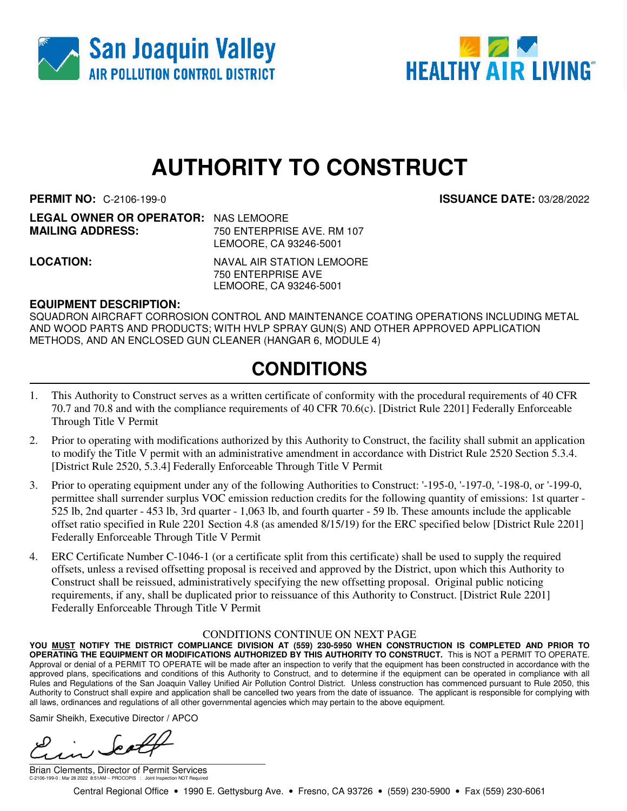



# **AUTHORITY TO CONSTRUCT**

**PERMIT NO:** C-2106-199-0 **ISSUANCE DATE:** 03/28/2022

| <b>LEGAL OWNER OR OPERATOR: NAS LEMOORE</b> |                                                                                                                                                                                                                                                                                                                                                                                      |
|---------------------------------------------|--------------------------------------------------------------------------------------------------------------------------------------------------------------------------------------------------------------------------------------------------------------------------------------------------------------------------------------------------------------------------------------|
| <b>MAILING ADDRESS:</b>                     | 750 ENTERPRISE AVE, RM 107                                                                                                                                                                                                                                                                                                                                                           |
|                                             | $\overline{1}$ $\overline{1}$ $\overline{1}$ $\overline{1}$ $\overline{1}$ $\overline{1}$ $\overline{1}$ $\overline{1}$ $\overline{1}$ $\overline{1}$ $\overline{1}$ $\overline{1}$ $\overline{1}$ $\overline{1}$ $\overline{1}$ $\overline{1}$ $\overline{1}$ $\overline{1}$ $\overline{1}$ $\overline{1}$ $\overline{1}$ $\overline{1}$ $\overline{1}$ $\overline{1}$ $\overline{$ |

LEMOORE, CA 93246-5001 **LOCATION:** NAVAL AIR STATION LEMOORE 750 ENTERPRISE AVE

LEMOORE, CA 93246-5001

**EQUIPMENT DESCRIPTION:**

SQUADRON AIRCRAFT CORROSION CONTROL AND MAINTENANCE COATING OPERATIONS INCLUDING METAL AND WOOD PARTS AND PRODUCTS; WITH HVLP SPRAY GUN(S) AND OTHER APPROVED APPLICATION METHODS, AND AN ENCLOSED GUN CLEANER (HANGAR 6, MODULE 4)

## **CONDITIONS**

- 1. This Authority to Construct serves as a written certificate of conformity with the procedural requirements of 40 CFR 70.7 and 70.8 and with the compliance requirements of 40 CFR 70.6(c). [District Rule 2201] Federally Enforceable Through Title V Permit
- 2. Prior to operating with modifications authorized by this Authority to Construct, the facility shall submit an application to modify the Title V permit with an administrative amendment in accordance with District Rule 2520 Section 5.3.4. [District Rule 2520, 5.3.4] Federally Enforceable Through Title V Permit
- 3. Prior to operating equipment under any of the following Authorities to Construct: '-195-0, '-197-0, '-198-0, or '-199-0, permittee shall surrender surplus VOC emission reduction credits for the following quantity of emissions: 1st quarter - 525 lb, 2nd quarter - 453 lb, 3rd quarter - 1,063 lb, and fourth quarter - 59 lb. These amounts include the applicable offset ratio specified in Rule 2201 Section 4.8 (as amended 8/15/19) for the ERC specified below [District Rule 2201] Federally Enforceable Through Title V Permit
- 4. ERC Certificate Number C-1046-1 (or a certificate split from this certificate) shall be used to supply the required offsets, unless a revised offsetting proposal is received and approved by the District, upon which this Authority to Construct shall be reissued, administratively specifying the new offsetting proposal. Original public noticing requirements, if any, shall be duplicated prior to reissuance of this Authority to Construct. [District Rule 2201] Federally Enforceable Through Title V Permit

#### CONDITIONS CONTINUE ON NEXT PAGE

**YOU MUST NOTIFY THE DISTRICT COMPLIANCE DIVISION AT (559) 230-5950 WHEN CONSTRUCTION IS COMPLETED AND PRIOR TO OPERATING THE EQUIPMENT OR MODIFICATIONS AUTHORIZED BY THIS AUTHORITY TO CONSTRUCT.** This is NOT a PERMIT TO OPERATE. Approval or denial of a PERMIT TO OPERATE will be made after an inspection to verify that the equipment has been constructed in accordance with the approved plans, specifications and conditions of this Authority to Construct, and to determine if the equipment can be operated in compliance with all Rules and Regulations of the San Joaquin Valley Unified Air Pollution Control District. Unless construction has commenced pursuant to Rule 2050, this Authority to Construct shall expire and application shall be cancelled two years from the date of issuance. The applicant is responsible for complying with all laws, ordinances and regulations of all other governmental agencies which may pertain to the above equipment.

Samir Sheikh, Executive Director / APCO

 $\overline{\phantom{a}}$ 

Brian Clements, Director of Permit Services C-2106-199-0 : Mar 28 2022 8:51AM -- PROCOPIS : Joint Inspection NOT Required

Central Regional Office • 1990 E. Gettysburg Ave. • Fresno, CA 93726 • (559) 230-5900 • Fax (559) 230-6061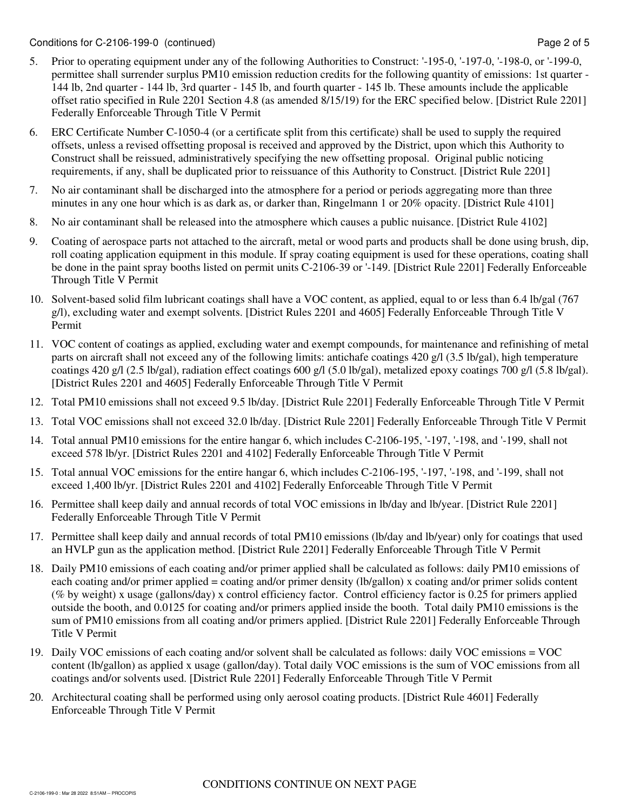- 5. Prior to operating equipment under any of the following Authorities to Construct: '-195-0, '-197-0, '-198-0, or '-199-0, permittee shall surrender surplus PM10 emission reduction credits for the following quantity of emissions: 1st quarter - 144 lb, 2nd quarter - 144 lb, 3rd quarter - 145 lb, and fourth quarter - 145 lb. These amounts include the applicable offset ratio specified in Rule 2201 Section 4.8 (as amended 8/15/19) for the ERC specified below. [District Rule 2201] Federally Enforceable Through Title V Permit
- 6. ERC Certificate Number C-1050-4 (or a certificate split from this certificate) shall be used to supply the required offsets, unless a revised offsetting proposal is received and approved by the District, upon which this Authority to Construct shall be reissued, administratively specifying the new offsetting proposal. Original public noticing requirements, if any, shall be duplicated prior to reissuance of this Authority to Construct. [District Rule 2201]
- 7. No air contaminant shall be discharged into the atmosphere for a period or periods aggregating more than three minutes in any one hour which is as dark as, or darker than, Ringelmann 1 or 20% opacity. [District Rule 4101]
- 8. No air contaminant shall be released into the atmosphere which causes a public nuisance. [District Rule 4102]
- 9. Coating of aerospace parts not attached to the aircraft, metal or wood parts and products shall be done using brush, dip, roll coating application equipment in this module. If spray coating equipment is used for these operations, coating shall be done in the paint spray booths listed on permit units C-2106-39 or '-149. [District Rule 2201] Federally Enforceable Through Title V Permit
- 10. Solvent-based solid film lubricant coatings shall have a VOC content, as applied, equal to or less than 6.4 lb/gal (767 g/l), excluding water and exempt solvents. [District Rules 2201 and 4605] Federally Enforceable Through Title V Permit
- 11. VOC content of coatings as applied, excluding water and exempt compounds, for maintenance and refinishing of metal parts on aircraft shall not exceed any of the following limits: antichafe coatings 420 g/l (3.5 lb/gal), high temperature coatings 420 g/l (2.5 lb/gal), radiation effect coatings 600 g/l (5.0 lb/gal), metalized epoxy coatings 700 g/l (5.8 lb/gal). [District Rules 2201 and 4605] Federally Enforceable Through Title V Permit
- 12. Total PM10 emissions shall not exceed 9.5 lb/day. [District Rule 2201] Federally Enforceable Through Title V Permit
- 13. Total VOC emissions shall not exceed 32.0 lb/day. [District Rule 2201] Federally Enforceable Through Title V Permit
- 14. Total annual PM10 emissions for the entire hangar 6, which includes C-2106-195, '-197, '-198, and '-199, shall not exceed 578 lb/yr. [District Rules 2201 and 4102] Federally Enforceable Through Title V Permit
- 15. Total annual VOC emissions for the entire hangar 6, which includes C-2106-195, '-197, '-198, and '-199, shall not exceed 1,400 lb/yr. [District Rules 2201 and 4102] Federally Enforceable Through Title V Permit
- 16. Permittee shall keep daily and annual records of total VOC emissions in lb/day and lb/year. [District Rule 2201] Federally Enforceable Through Title V Permit
- 17. Permittee shall keep daily and annual records of total PM10 emissions (lb/day and lb/year) only for coatings that used an HVLP gun as the application method. [District Rule 2201] Federally Enforceable Through Title V Permit
- 18. Daily PM10 emissions of each coating and/or primer applied shall be calculated as follows: daily PM10 emissions of each coating and/or primer applied = coating and/or primer density (lb/gallon) x coating and/or primer solids content (% by weight) x usage (gallons/day) x control efficiency factor. Control efficiency factor is 0.25 for primers applied outside the booth, and 0.0125 for coating and/or primers applied inside the booth. Total daily PM10 emissions is the sum of PM10 emissions from all coating and/or primers applied. [District Rule 2201] Federally Enforceable Through Title V Permit
- 19. Daily VOC emissions of each coating and/or solvent shall be calculated as follows: daily VOC emissions = VOC content (lb/gallon) as applied x usage (gallon/day). Total daily VOC emissions is the sum of VOC emissions from all coatings and/or solvents used. [District Rule 2201] Federally Enforceable Through Title V Permit
- 20. Architectural coating shall be performed using only aerosol coating products. [District Rule 4601] Federally Enforceable Through Title V Permit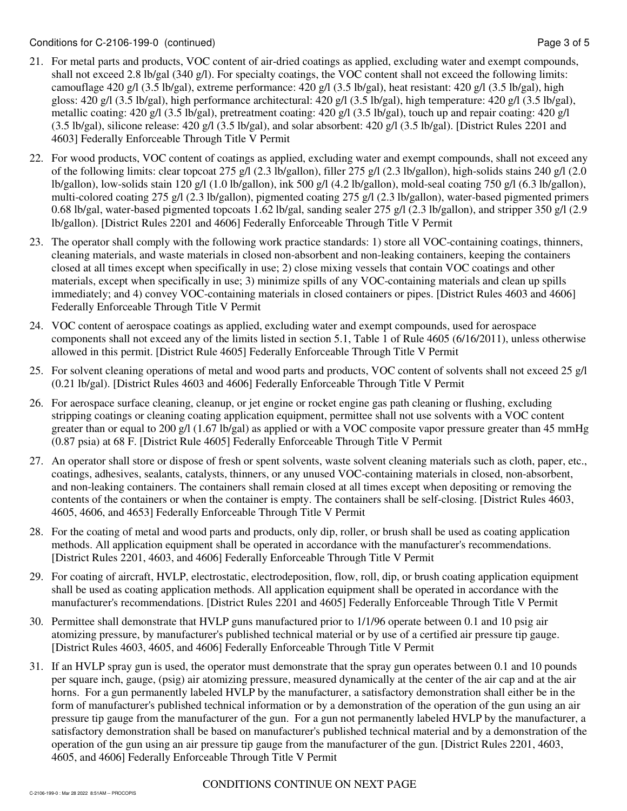- 21. For metal parts and products, VOC content of air-dried coatings as applied, excluding water and exempt compounds, shall not exceed 2.8 lb/gal (340 g/l). For specialty coatings, the VOC content shall not exceed the following limits: camouflage 420 g/l (3.5 lb/gal), extreme performance: 420 g/l (3.5 lb/gal), heat resistant: 420 g/l (3.5 lb/gal), high gloss: 420 g/l (3.5 lb/gal), high performance architectural: 420 g/l (3.5 lb/gal), high temperature: 420 g/l (3.5 lb/gal), metallic coating: 420 g/l (3.5 lb/gal), pretreatment coating: 420 g/l (3.5 lb/gal), touch up and repair coating: 420 g/l  $(3.5 \text{ lb/gal})$ , silicone release:  $420 \text{ g/l}$   $(3.5 \text{ lb/gal})$ , and solar absorbent:  $420 \text{ g/l}$   $(3.5 \text{ lb/gal})$ . [District Rules 2201 and 4603] Federally Enforceable Through Title V Permit
- 22. For wood products, VOC content of coatings as applied, excluding water and exempt compounds, shall not exceed any of the following limits: clear topcoat 275 g/l (2.3 lb/gallon), filler 275 g/l (2.3 lb/gallon), high-solids stains 240 g/l (2.0 lb/gallon), low-solids stain 120 g/l (1.0 lb/gallon), ink 500 g/l (4.2 lb/gallon), mold-seal coating 750 g/l (6.3 lb/gallon), multi-colored coating 275 g/l (2.3 lb/gallon), pigmented coating 275 g/l (2.3 lb/gallon), water-based pigmented primers 0.68 lb/gal, water-based pigmented topcoats 1.62 lb/gal, sanding sealer 275 g/l (2.3 lb/gallon), and stripper 350 g/l (2.9 lb/gallon). [District Rules 2201 and 4606] Federally Enforceable Through Title V Permit
- 23. The operator shall comply with the following work practice standards: 1) store all VOC-containing coatings, thinners, cleaning materials, and waste materials in closed non-absorbent and non-leaking containers, keeping the containers closed at all times except when specifically in use; 2) close mixing vessels that contain VOC coatings and other materials, except when specifically in use; 3) minimize spills of any VOC-containing materials and clean up spills immediately; and 4) convey VOC-containing materials in closed containers or pipes. [District Rules 4603 and 4606] Federally Enforceable Through Title V Permit
- 24. VOC content of aerospace coatings as applied, excluding water and exempt compounds, used for aerospace components shall not exceed any of the limits listed in section 5.1, Table 1 of Rule 4605 (6/16/2011), unless otherwise allowed in this permit. [District Rule 4605] Federally Enforceable Through Title V Permit
- 25. For solvent cleaning operations of metal and wood parts and products, VOC content of solvents shall not exceed 25 g/l (0.21 lb/gal). [District Rules 4603 and 4606] Federally Enforceable Through Title V Permit
- 26. For aerospace surface cleaning, cleanup, or jet engine or rocket engine gas path cleaning or flushing, excluding stripping coatings or cleaning coating application equipment, permittee shall not use solvents with a VOC content greater than or equal to 200 g/l (1.67 lb/gal) as applied or with a VOC composite vapor pressure greater than 45 mmHg (0.87 psia) at 68 F. [District Rule 4605] Federally Enforceable Through Title V Permit
- 27. An operator shall store or dispose of fresh or spent solvents, waste solvent cleaning materials such as cloth, paper, etc., coatings, adhesives, sealants, catalysts, thinners, or any unused VOC-containing materials in closed, non-absorbent, and non-leaking containers. The containers shall remain closed at all times except when depositing or removing the contents of the containers or when the container is empty. The containers shall be self-closing. [District Rules 4603, 4605, 4606, and 4653] Federally Enforceable Through Title V Permit
- 28. For the coating of metal and wood parts and products, only dip, roller, or brush shall be used as coating application methods. All application equipment shall be operated in accordance with the manufacturer's recommendations. [District Rules 2201, 4603, and 4606] Federally Enforceable Through Title V Permit
- 29. For coating of aircraft, HVLP, electrostatic, electrodeposition, flow, roll, dip, or brush coating application equipment shall be used as coating application methods. All application equipment shall be operated in accordance with the manufacturer's recommendations. [District Rules 2201 and 4605] Federally Enforceable Through Title V Permit
- 30. Permittee shall demonstrate that HVLP guns manufactured prior to 1/1/96 operate between 0.1 and 10 psig air atomizing pressure, by manufacturer's published technical material or by use of a certified air pressure tip gauge. [District Rules 4603, 4605, and 4606] Federally Enforceable Through Title V Permit
- 31. If an HVLP spray gun is used, the operator must demonstrate that the spray gun operates between 0.1 and 10 pounds per square inch, gauge, (psig) air atomizing pressure, measured dynamically at the center of the air cap and at the air horns. For a gun permanently labeled HVLP by the manufacturer, a satisfactory demonstration shall either be in the form of manufacturer's published technical information or by a demonstration of the operation of the gun using an air pressure tip gauge from the manufacturer of the gun. For a gun not permanently labeled HVLP by the manufacturer, a satisfactory demonstration shall be based on manufacturer's published technical material and by a demonstration of the operation of the gun using an air pressure tip gauge from the manufacturer of the gun. [District Rules 2201, 4603, 4605, and 4606] Federally Enforceable Through Title V Permit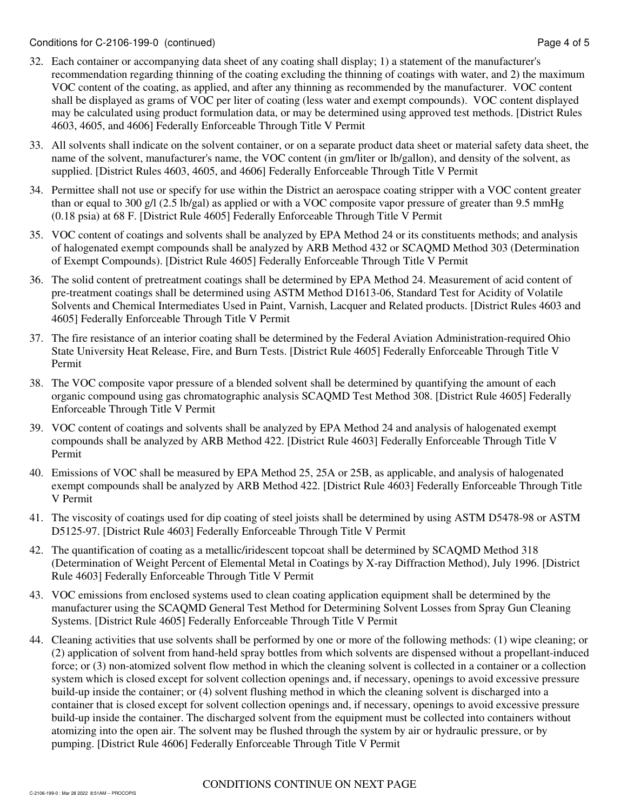- 32. Each container or accompanying data sheet of any coating shall display; 1) a statement of the manufacturer's recommendation regarding thinning of the coating excluding the thinning of coatings with water, and 2) the maximum VOC content of the coating, as applied, and after any thinning as recommended by the manufacturer. VOC content shall be displayed as grams of VOC per liter of coating (less water and exempt compounds). VOC content displayed may be calculated using product formulation data, or may be determined using approved test methods. [District Rules 4603, 4605, and 4606] Federally Enforceable Through Title V Permit
- 33. All solvents shall indicate on the solvent container, or on a separate product data sheet or material safety data sheet, the name of the solvent, manufacturer's name, the VOC content (in gm/liter or lb/gallon), and density of the solvent, as supplied. [District Rules 4603, 4605, and 4606] Federally Enforceable Through Title V Permit
- 34. Permittee shall not use or specify for use within the District an aerospace coating stripper with a VOC content greater than or equal to 300 g/l (2.5 lb/gal) as applied or with a VOC composite vapor pressure of greater than 9.5 mmHg (0.18 psia) at 68 F. [District Rule 4605] Federally Enforceable Through Title V Permit
- 35. VOC content of coatings and solvents shall be analyzed by EPA Method 24 or its constituents methods; and analysis of halogenated exempt compounds shall be analyzed by ARB Method 432 or SCAQMD Method 303 (Determination of Exempt Compounds). [District Rule 4605] Federally Enforceable Through Title V Permit
- 36. The solid content of pretreatment coatings shall be determined by EPA Method 24. Measurement of acid content of pre-treatment coatings shall be determined using ASTM Method D1613-06, Standard Test for Acidity of Volatile Solvents and Chemical Intermediates Used in Paint, Varnish, Lacquer and Related products. [District Rules 4603 and 4605] Federally Enforceable Through Title V Permit
- 37. The fire resistance of an interior coating shall be determined by the Federal Aviation Administration-required Ohio State University Heat Release, Fire, and Burn Tests. [District Rule 4605] Federally Enforceable Through Title V Permit
- 38. The VOC composite vapor pressure of a blended solvent shall be determined by quantifying the amount of each organic compound using gas chromatographic analysis SCAQMD Test Method 308. [District Rule 4605] Federally Enforceable Through Title V Permit
- 39. VOC content of coatings and solvents shall be analyzed by EPA Method 24 and analysis of halogenated exempt compounds shall be analyzed by ARB Method 422. [District Rule 4603] Federally Enforceable Through Title V Permit
- 40. Emissions of VOC shall be measured by EPA Method 25, 25A or 25B, as applicable, and analysis of halogenated exempt compounds shall be analyzed by ARB Method 422. [District Rule 4603] Federally Enforceable Through Title V Permit
- 41. The viscosity of coatings used for dip coating of steel joists shall be determined by using ASTM D5478-98 or ASTM D5125-97. [District Rule 4603] Federally Enforceable Through Title V Permit
- 42. The quantification of coating as a metallic/iridescent topcoat shall be determined by SCAQMD Method 318 (Determination of Weight Percent of Elemental Metal in Coatings by X-ray Diffraction Method), July 1996. [District Rule 4603] Federally Enforceable Through Title V Permit
- 43. VOC emissions from enclosed systems used to clean coating application equipment shall be determined by the manufacturer using the SCAQMD General Test Method for Determining Solvent Losses from Spray Gun Cleaning Systems. [District Rule 4605] Federally Enforceable Through Title V Permit
- 44. Cleaning activities that use solvents shall be performed by one or more of the following methods: (1) wipe cleaning; or (2) application of solvent from hand-held spray bottles from which solvents are dispensed without a propellant-induced force; or (3) non-atomized solvent flow method in which the cleaning solvent is collected in a container or a collection system which is closed except for solvent collection openings and, if necessary, openings to avoid excessive pressure build-up inside the container; or (4) solvent flushing method in which the cleaning solvent is discharged into a container that is closed except for solvent collection openings and, if necessary, openings to avoid excessive pressure build-up inside the container. The discharged solvent from the equipment must be collected into containers without atomizing into the open air. The solvent may be flushed through the system by air or hydraulic pressure, or by pumping. [District Rule 4606] Federally Enforceable Through Title V Permit